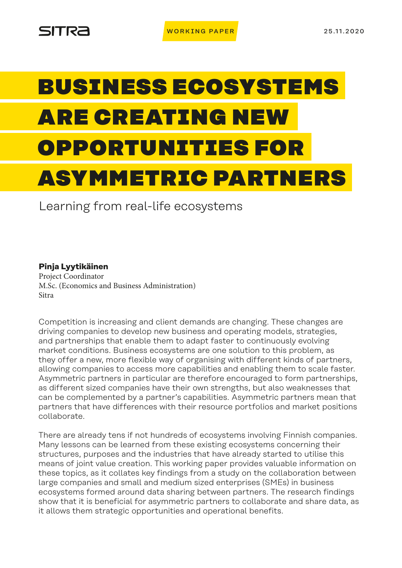# BUSINESS ECOSYSTEMS ARE CREATING NEW OPPORTUNITIES FOR ASYMMETRIC PARTNERS

Learning from real-life ecosystems

**Pinja Lyytikäinen** Project Coordinator M.Sc. (Economics and Business Administration) Sitra

Competition is increasing and client demands are changing. These changes are driving companies to develop new business and operating models, strategies, and partnerships that enable them to adapt faster to continuously evolving market conditions. Business ecosystems are one solution to this problem, as they offer a new, more flexible way of organising with different kinds of partners, allowing companies to access more capabilities and enabling them to scale faster. Asymmetric partners in particular are therefore encouraged to form partnerships, as different sized companies have their own strengths, but also weaknesses that can be complemented by a partner's capabilities. Asymmetric partners mean that partners that have differences with their resource portfolios and market positions collaborate.

There are already tens if not hundreds of ecosystems involving Finnish companies. Many lessons can be learned from these existing ecosystems concerning their structures, purposes and the industries that have already started to utilise this means of joint value creation. This working paper provides valuable information on these topics, as it collates key findings from a study on the collaboration between large companies and small and medium sized enterprises (SMEs) in business ecosystems formed around data sharing between partners. The research findings show that it is beneficial for asymmetric partners to collaborate and share data, as it allows them strategic opportunities and operational benefits.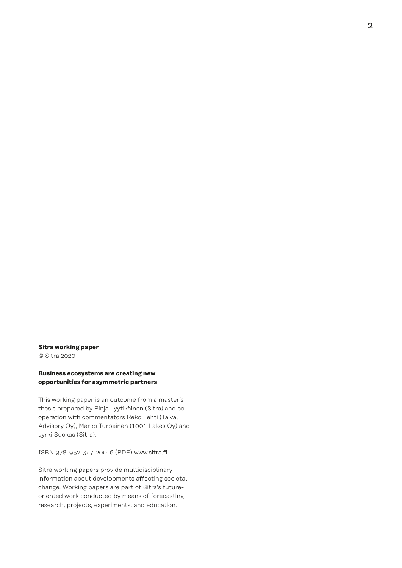### **Sitra working paper**

© Sitra 2020

#### **Business ecosystems are creating new opportunities for asymmetric partners**

This working paper is an outcome from a master's thesis prepared by Pinja Lyytikäinen (Sitra) and cooperation with commentators Reko Lehti (Taival Advisory Oy), Marko Turpeinen (1001 Lakes Oy) and Jyrki Suokas (Sitra).

ISBN 978-952-347-200-6 (PDF) www.sitra.fi

Sitra working papers provide multidisciplinary information about developments affecting societal change. Working papers are part of Sitra's futureoriented work conducted by means of forecasting, research, projects, experiments, and education.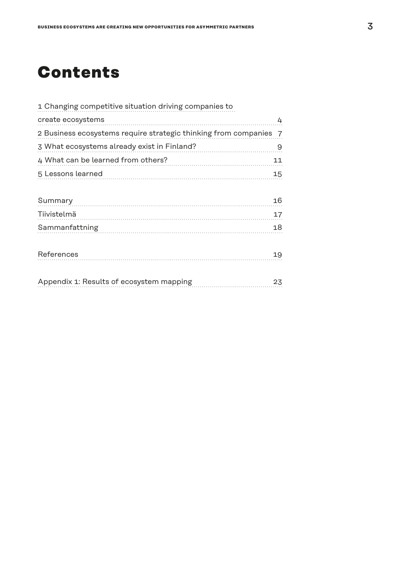# **Contents**

| 1 Changing competitive situation driving companies to             |    |
|-------------------------------------------------------------------|----|
| create ecosystems                                                 | 4  |
| 2 Business ecosystems require strategic thinking from companies 7 |    |
| 3 What ecosystems already exist in Finland?                       | 9  |
| 4 What can be learned from others?                                | 11 |
| 5 Lessons learned                                                 | 15 |
|                                                                   |    |
| Summary                                                           | 16 |
| Tiivistelmä                                                       | 17 |
| Sammanfattning                                                    | 18 |
|                                                                   |    |
| References                                                        | 19 |
|                                                                   |    |
| Appendix 1: Results of ecosystem mapping                          | 23 |
|                                                                   |    |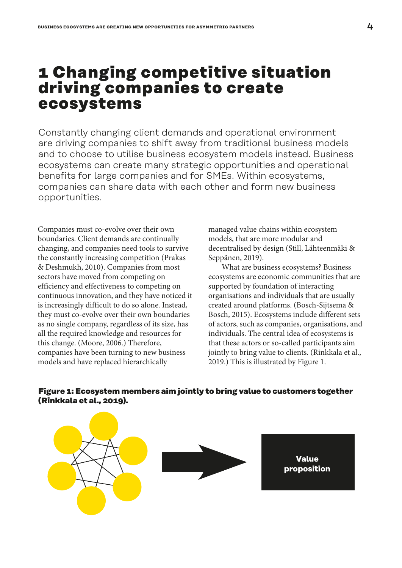### <span id="page-3-0"></span>**1 Changing competitive situation driving companies to create ecosystems**

Constantly changing client demands and operational environment are driving companies to shift away from traditional business models and to choose to utilise business ecosystem models instead. Business ecosystems can create many strategic opportunities and operational benefits for large companies and for SMEs. Within ecosystems, companies can share data with each other and form new business opportunities.

Companies must co-evolve over their own boundaries. Client demands are continually changing, and companies need tools to survive the constantly increasing competition (Prakas & Deshmukh, 2010). Companies from most sectors have moved from competing on efficiency and effectiveness to competing on continuous innovation, and they have noticed it is increasingly difficult to do so alone. Instead, they must co-evolve over their own boundaries as no single company, regardless of its size, has all the required knowledge and resources for this change. (Moore, 2006.) Therefore, companies have been turning to new business models and have replaced hierarchically

managed value chains within ecosystem models, that are more modular and decentralised by design (Still, Lähteenmäki & Seppänen, 2019).

What are business ecosystems? Business ecosystems are economic communities that are supported by foundation of interacting organisations and individuals that are usually created around platforms. (Bosch-Sijtsema & Bosch, 2015). Ecosystems include different sets of actors, such as companies, organisations, and individuals. The central idea of ecosystems is that these actors or so-called participants aim jointly to bring value to clients. (Rinkkala et al., 2019.) This is illustrated by Figure 1.



### **Figure 1: Ecosystem members aim jointly to bring value to customers together (Rinkkala et al., 2019).**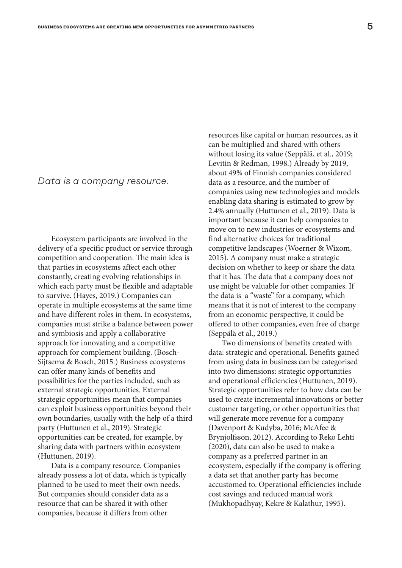### *Data is a company resource.*

Ecosystem participants are involved in the delivery of a specific product or service through competition and cooperation. The main idea is that parties in ecosystems affect each other constantly, creating evolving relationships in which each party must be flexible and adaptable to survive. (Hayes, 2019.) Companies can operate in multiple ecosystems at the same time and have different roles in them. In ecosystems, companies must strike a balance between power and symbiosis and apply a collaborative approach for innovating and a competitive approach for complement building. (Bosch-Sijtsema & Bosch, 2015.) Business ecosystems can offer many kinds of benefits and possibilities for the parties included, such as external strategic opportunities. External strategic opportunities mean that companies can exploit business opportunities beyond their own boundaries, usually with the help of a third party (Huttunen et al., 2019). Strategic opportunities can be created, for example, by sharing data with partners within ecosystem (Huttunen, 2019).

Data is a company resource. Companies already possess a lot of data, which is typically planned to be used to meet their own needs. But companies should consider data as a resource that can be shared it with other companies, because it differs from other

resources like capital or human resources, as it can be multiplied and shared with others without losing its value (Seppälä, et al., 2019; Levitin & Redman, 1998.) Already by 2019, about 49% of Finnish companies considered data as a resource, and the number of companies using new technologies and models enabling data sharing is estimated to grow by 2.4% annually (Huttunen et al., 2019). Data is important because it can help companies to move on to new industries or ecosystems and find alternative choices for traditional competitive landscapes (Woerner & Wixom, 2015). A company must make a strategic decision on whether to keep or share the data that it has. The data that a company does not use might be valuable for other companies. If the data is a "waste" for a company, which means that it is not of interest to the company from an economic perspective, it could be offered to other companies, even free of charge (Seppälä et al., 2019.)

Two dimensions of benefits created with data: strategic and operational. Benefits gained from using data in business can be categorised into two dimensions: strategic opportunities and operational efficiencies (Huttunen, 2019). Strategic opportunities refer to how data can be used to create incremental innovations or better customer targeting, or other opportunities that will generate more revenue for a company (Davenport & Kudyba, 2016; McAfee & Brynjolfsson, 2012). According to Reko Lehti (2020), data can also be used to make a company as a preferred partner in an ecosystem, especially if the company is offering a data set that another party has become accustomed to. Operational efficiencies include cost savings and reduced manual work (Mukhopadhyay, Kekre & Kalathur, 1995).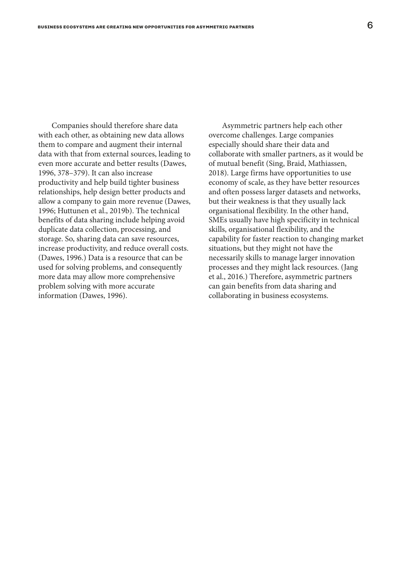Companies should therefore share data with each other, as obtaining new data allows them to compare and augment their internal data with that from external sources, leading to even more accurate and better results (Dawes, 1996, 378–379). It can also increase productivity and help build tighter business relationships, help design better products and allow a company to gain more revenue (Dawes, 1996; Huttunen et al., 2019b). The technical benefits of data sharing include helping avoid duplicate data collection, processing, and storage. So, sharing data can save resources, increase productivity, and reduce overall costs. (Dawes, 1996.) Data is a resource that can be used for solving problems, and consequently more data may allow more comprehensive problem solving with more accurate information (Dawes, 1996).

Asymmetric partners help each other overcome challenges. Large companies especially should share their data and collaborate with smaller partners, as it would be of mutual benefit (Sing, Braid, Mathiassen, 2018). Large firms have opportunities to use economy of scale, as they have better resources and often possess larger datasets and networks, but their weakness is that they usually lack organisational flexibility. In the other hand, SMEs usually have high specificity in technical skills, organisational flexibility, and the capability for faster reaction to changing market situations, but they might not have the necessarily skills to manage larger innovation processes and they might lack resources. (Jang et al., 2016.) Therefore, asymmetric partners can gain benefits from data sharing and collaborating in business ecosystems.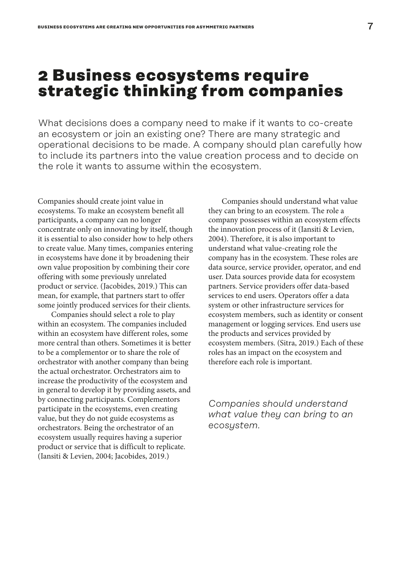### <span id="page-6-0"></span>**2 Business ecosystems require strategic thinking from companies**

What decisions does a company need to make if it wants to co-create an ecosystem or join an existing one? There are many strategic and operational decisions to be made. A company should plan carefully how to include its partners into the value creation process and to decide on the role it wants to assume within the ecosystem.

Companies should create joint value in ecosystems. To make an ecosystem benefit all participants, a company can no longer concentrate only on innovating by itself, though it is essential to also consider how to help others to create value. Many times, companies entering in ecosystems have done it by broadening their own value proposition by combining their core offering with some previously unrelated product or service. (Jacobides, 2019.) This can mean, for example, that partners start to offer some jointly produced services for their clients.

Companies should select a role to play within an ecosystem. The companies included within an ecosystem have different roles, some more central than others. Sometimes it is better to be a complementor or to share the role of orchestrator with another company than being the actual orchestrator. Orchestrators aim to increase the productivity of the ecosystem and in general to develop it by providing assets, and by connecting participants. Complementors participate in the ecosystems, even creating value, but they do not guide ecosystems as orchestrators. Being the orchestrator of an ecosystem usually requires having a superior product or service that is difficult to replicate. (Iansiti & Levien, 2004; Jacobides, 2019.)

Companies should understand what value they can bring to an ecosystem. The role a company possesses within an ecosystem effects the innovation process of it (Iansiti & Levien, 2004). Therefore, it is also important to understand what value-creating role the company has in the ecosystem. These roles are data source, service provider, operator, and end user. Data sources provide data for ecosystem partners. Service providers offer data-based services to end users. Operators offer a data system or other infrastructure services for ecosystem members, such as identity or consent management or logging services. End users use the products and services provided by ecosystem members. (Sitra, 2019.) Each of these roles has an impact on the ecosystem and therefore each role is important.

*Companies should understand what value they can bring to an ecosystem.*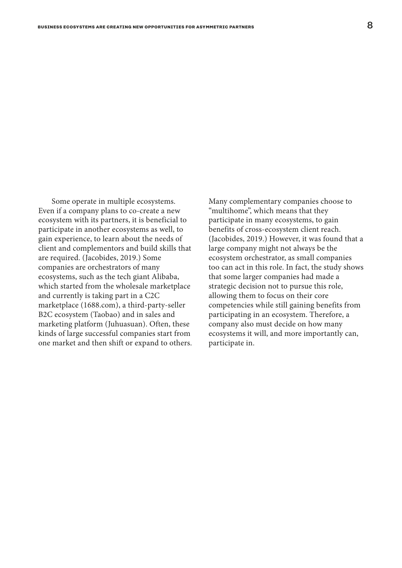Some operate in multiple ecosystems. Even if a company plans to co-create a new ecosystem with its partners, it is beneficial to participate in another ecosystems as well, to gain experience, to learn about the needs of client and complementors and build skills that are required. (Jacobides, 2019.) Some companies are orchestrators of many ecosystems, such as the tech giant Alibaba, which started from the wholesale marketplace and currently is taking part in a C2C marketplace (1688.com), a third-party-seller B2C ecosystem (Taobao) and in sales and marketing platform (Juhuasuan). Often, these kinds of large successful companies start from one market and then shift or expand to others.

Many complementary companies choose to "multihome", which means that they participate in many ecosystems, to gain benefits of cross-ecosystem client reach. (Jacobides, 2019.) However, it was found that a large company might not always be the ecosystem orchestrator, as small companies too can act in this role. In fact, the study shows that some larger companies had made a strategic decision not to pursue this role, allowing them to focus on their core competencies while still gaining benefits from participating in an ecosystem. Therefore, a company also must decide on how many ecosystems it will, and more importantly can, participate in.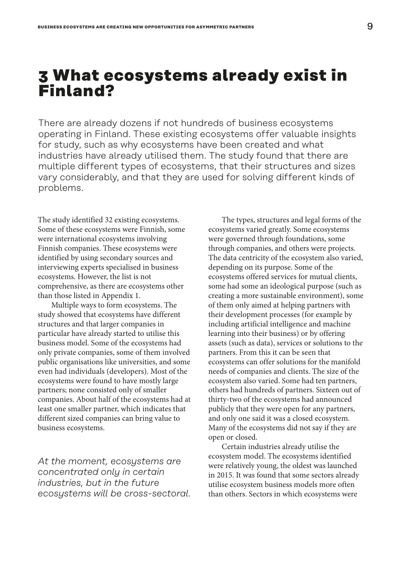### <span id="page-8-0"></span>**3 What ecosystems already exist in Finland?**

There are already dozens if not hundreds of business ecosystems operating in Finland. These existing ecosystems offer valuable insights for study, such as why ecosystems have been created and what industries have already utilised them. The study found that there are multiple different types of ecosystems, that their structures and sizes vary considerably, and that they are used for solving different kinds of problems.

The study identified 32 existing ecosystems. Some of these ecosystems were Finnish, some were international ecosystems involving Finnish companies. These ecosystems were identified by using secondary sources and interviewing experts specialised in business ecosystems. However, the list is not comprehensive, as there are ecosystems other than those listed in Appendix 1.

Multiple ways to form ecosystems. The study showed that ecosystems have different structures and that larger companies in particular have already started to utilise this business model. Some of the ecosystems had only private companies, some of them involved public organisations like universities, and some even had individuals (developers). Most of the ecosystems were found to have mostly large partners; none consisted only of smaller companies. About half of the ecosystems had at least one smaller partner, which indicates that different sized companies can bring value to business ecosystems.

*At the moment, ecosystems are concentrated only in certain industries, but in the future ecosystems will be cross-sectoral.*

The types, structures and legal forms of the ecosystems varied greatly. Some ecosystems were governed through foundations, some through companies, and others were projects. The data centricity of the ecosystem also varied, depending on its purpose. Some of the ecosystems offered services for mutual clients, some had some an ideological purpose (such as creating a more sustainable environment), some of them only aimed at helping partners with their development processes (for example by including artificial intelligence and machine learning into their business) or by offering assets (such as data), services or solutions to the partners. From this it can be seen that ecosystems can offer solutions for the manifold needs of companies and clients. The size of the ecosystem also varied. Some had ten partners, others had hundreds of partners. Sixteen out of thirty-two of the ecosystems had announced publicly that they were open for any partners, and only one said it was a closed ecosystem. Many of the ecosystems did not say if they are open or closed.

Certain industries already utilise the ecosystem model. The ecosystems identified were relatively young, the oldest was launched in 2015. It was found that some sectors already utilise ecosystem business models more often than others. Sectors in which ecosystems were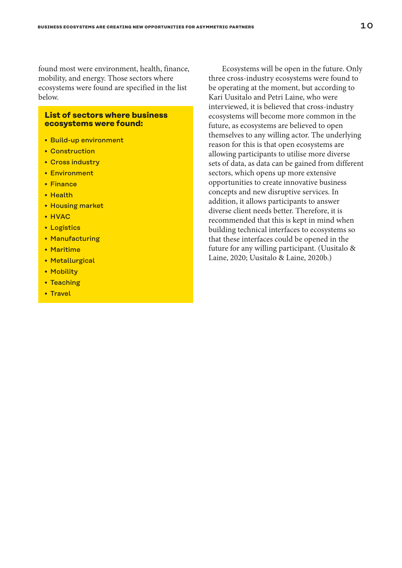found most were environment, health, finance, mobility, and energy. Those sectors where ecosystems were found are specified in the list below.

#### **List of sectors where business ecosystems were found:**

- Build-up environment
- Construction
- Cross industry
- Environment
- Finance
- Health
- Housing market
- HVAC
- Logistics
- Manufacturing
- Maritime
- Metallurgical
- Mobility
- Teaching
- Travel

Ecosystems will be open in the future. Only three cross-industry ecosystems were found to be operating at the moment, but according to Kari Uusitalo and Petri Laine, who were interviewed, it is believed that cross-industry ecosystems will become more common in the future, as ecosystems are believed to open themselves to any willing actor. The underlying reason for this is that open ecosystems are allowing participants to utilise more diverse sets of data, as data can be gained from different sectors, which opens up more extensive opportunities to create innovative business concepts and new disruptive services. In addition, it allows participants to answer diverse client needs better. Therefore, it is recommended that this is kept in mind when building technical interfaces to ecosystems so that these interfaces could be opened in the future for any willing participant. (Uusitalo & Laine, 2020; Uusitalo & Laine, 2020b.)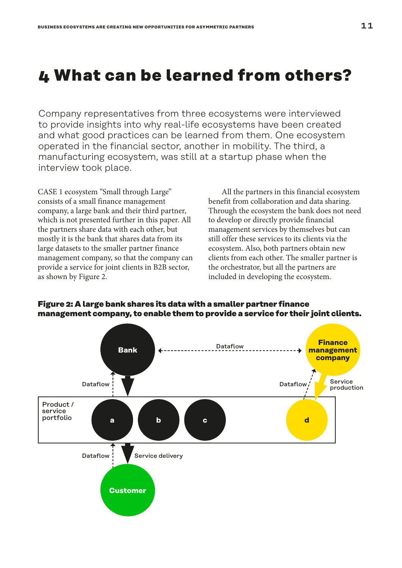# <span id="page-10-0"></span>**4 What can be learned from others?**

Company representatives from three ecosystems were interviewed to provide insights into why real-life ecosystems have been created and what good practices can be learned from them. One ecosystem operated in the financial sector, another in mobility. The third, a manufacturing ecosystem, was still at a startup phase when the interview took place.

CASE 1 ecosystem "Small through Large" consists of a small finance management company, a large bank and their third partner, which is not presented further in this paper. All the partners share data with each other, but mostly it is the bank that shares data from its large datasets to the smaller partner finance management company, so that the company can provide a service for joint clients in B2B sector, as shown by Figure 2.

All the partners in this financial ecosystem benefit from collaboration and data sharing. Through the ecosystem the bank does not need to develop or directly provide financial management services by themselves but can still offer these services to its clients via the ecosystem. Also, both partners obtain new clients from each other. The smaller partner is the orchestrator, but all the partners are included in developing the ecosystem.



#### **Figure 2: A large bank shares its data with a smaller partner finance management company, to enable them to provide a service for their joint clients.**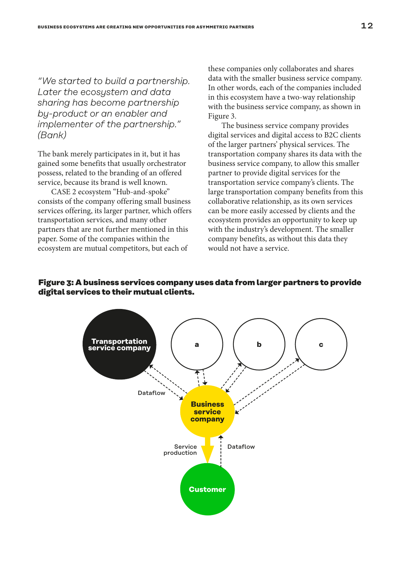*"We started to build a partnership. Later the ecosystem and data sharing has become partnership by-product or an enabler and implementer of the partnership." (Bank)*

The bank merely participates in it, but it has gained some benefits that usually orchestrator possess, related to the branding of an offered service, because its brand is well known.

CASE 2 ecosystem "Hub-and-spoke" consists of the company offering small business services offering, its larger partner, which offers transportation services, and many other partners that are not further mentioned in this paper. Some of the companies within the ecosystem are mutual competitors, but each of

these companies only collaborates and shares data with the smaller business service company. In other words, each of the companies included in this ecosystem have a two-way relationship with the business service company, as shown in Figure 3.

The business service company provides digital services and digital access to B2C clients of the larger partners' physical services. The transportation company shares its data with the business service company, to allow this smaller partner to provide digital services for the transportation service company's clients. The large transportation company benefits from this collaborative relationship, as its own services can be more easily accessed by clients and the ecosystem provides an opportunity to keep up with the industry's development. The smaller company benefits, as without this data they would not have a service.

#### **Figure 3: A business services company uses data from larger partners to provide digital services to their mutual clients.**

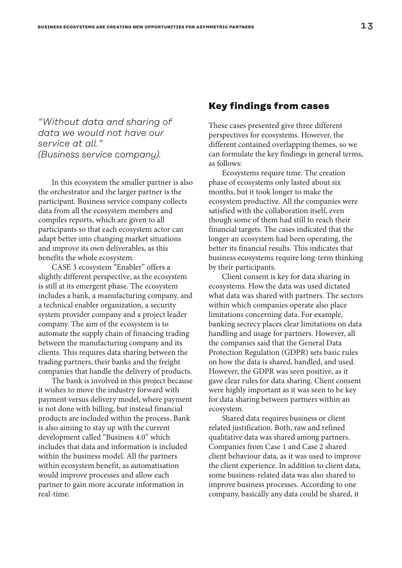*"Without data and sharing of data we would not have our service at all." (Business service company).*

In this ecosystem the smaller partner is also the orchestrator and the larger partner is the participant. Business service company collects data from all the ecosystem members and compiles reports, which are given to all participants so that each ecosystem actor can adapt better into changing market situations and improve its own deliverables, as this benefits the whole ecosystem.

CASE 3 ecosystem "Enabler" offers a slightly different perspective, as the ecosystem is still at its emergent phase. The ecosystem includes a bank, a manufacturing company, and a technical enabler organization, a security system provider company and a project leader company. The aim of the ecosystem is to automate the supply chain of financing trading between the manufacturing company and its clients. This requires data sharing between the trading partners, their banks and the freight companies that handle the delivery of products.

The bank is involved in this project because it wishes to move the industry forward with payment versus delivery model, where payment is not done with billing, but instead financial products are included within the process. Bank is also aiming to stay up with the current development called "Business 4.0" which includes that data and information is included within the business model. All the partners within ecosystem benefit, as automatisation would improve processes and allow each partner to gain more accurate information in real-time.

### **Key findings from cases**

These cases presented give three different perspectives for ecosystems. However, the different contained overlapping themes, so we can formulate the key findings in general terms, as follows:

Ecosystems require time. The creation phase of ecosystems only lasted about six months, but it took longer to make the ecosystem productive. All the companies were satisfied with the collaboration itself, even though some of them had still to reach their financial targets. The cases indicated that the longer an ecosystem had been operating, the better its financial results. This indicates that business ecosystems require long-term thinking by their participants.

Client consent is key for data sharing in ecosystems. How the data was used dictated what data was shared with partners. The sectors within which companies operate also place limitations concerning data. For example, banking secrecy places clear limitations on data handling and usage for partners. However, all the companies said that the General Data Protection Regulation (GDPR) sets basic rules on how the data is shared, handled, and used. However, the GDPR was seen positive, as it gave clear rules for data sharing. Client consent were highly important as it was seen to be key for data sharing between partners within an ecosystem.

Shared data requires business or client related justification. Both, raw and refined qualitative data was shared among partners. Companies from Case 1 and Case 2 shared client behaviour data, as it was used to improve the client experience. In addition to client data, some business-related data was also shared to improve business processes. According to one company, basically any data could be shared, it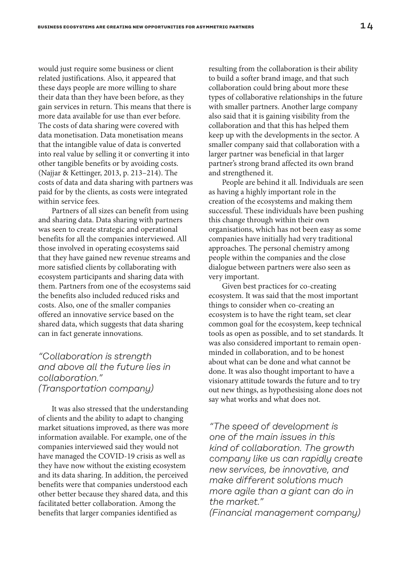would just require some business or client related justifications. Also, it appeared that these days people are more willing to share their data than they have been before, as they gain services in return. This means that there is more data available for use than ever before. The costs of data sharing were covered with data monetisation. Data monetisation means that the intangible value of data is converted into real value by selling it or converting it into other tangible benefits or by avoiding costs. (Najjar & Kettinger, 2013, p. 213–214). The costs of data and data sharing with partners was paid for by the clients, as costs were integrated within service fees.

Partners of all sizes can benefit from using and sharing data. Data sharing with partners was seen to create strategic and operational benefits for all the companies interviewed. All those involved in operating ecosystems said that they have gained new revenue streams and more satisfied clients by collaborating with ecosystem participants and sharing data with them. Partners from one of the ecosystems said the benefits also included reduced risks and costs. Also, one of the smaller companies offered an innovative service based on the shared data, which suggests that data sharing can in fact generate innovations.

### *"Collaboration is strength and above all the future lies in collaboration." (Transportation company)*

It was also stressed that the understanding of clients and the ability to adapt to changing market situations improved, as there was more information available. For example, one of the companies interviewed said they would not have managed the COVID-19 crisis as well as they have now without the existing ecosystem and its data sharing. In addition, the perceived benefits were that companies understood each other better because they shared data, and this facilitated better collaboration. Among the benefits that larger companies identified as

resulting from the collaboration is their ability to build a softer brand image, and that such collaboration could bring about more these types of collaborative relationships in the future with smaller partners. Another large company also said that it is gaining visibility from the collaboration and that this has helped them keep up with the developments in the sector. A smaller company said that collaboration with a larger partner was beneficial in that larger partner's strong brand affected its own brand and strengthened it.

People are behind it all. Individuals are seen as having a highly important role in the creation of the ecosystems and making them successful. These individuals have been pushing this change through within their own organisations, which has not been easy as some companies have initially had very traditional approaches. The personal chemistry among people within the companies and the close dialogue between partners were also seen as very important.

Given best practices for co-creating ecosystem. It was said that the most important things to consider when co-creating an ecosystem is to have the right team, set clear common goal for the ecosystem, keep technical tools as open as possible, and to set standards. It was also considered important to remain openminded in collaboration, and to be honest about what can be done and what cannot be done. It was also thought important to have a visionary attitude towards the future and to try out new things, as hypothesising alone does not say what works and what does not.

*"The speed of development is one of the main issues in this kind of collaboration. The growth company like us can rapidly create new services, be innovative, and make different solutions much more agile than a giant can do in the market."* 

*(Financial management company)*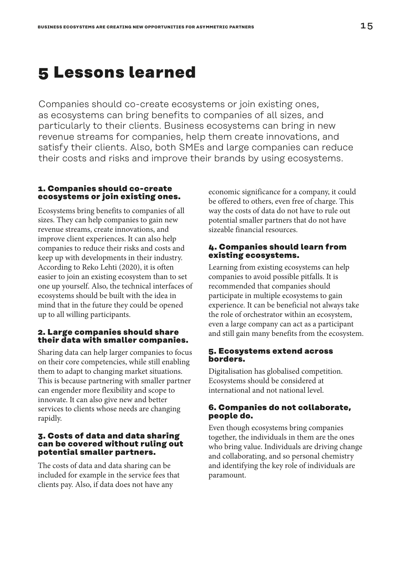### <span id="page-14-0"></span>**5 Lessons learned**

Companies should co-create ecosystems or join existing ones, as ecosystems can bring benefits to companies of all sizes, and particularly to their clients. Business ecosystems can bring in new revenue streams for companies, help them create innovations, and satisfy their clients. Also, both SMEs and large companies can reduce their costs and risks and improve their brands by using ecosystems.

#### **1. Companies should co-create ecosystems or join existing ones.**

Ecosystems bring benefits to companies of all sizes. They can help companies to gain new revenue streams, create innovations, and improve client experiences. It can also help companies to reduce their risks and costs and keep up with developments in their industry. According to Reko Lehti (2020), it is often easier to join an existing ecosystem than to set one up yourself. Also, the technical interfaces of ecosystems should be built with the idea in mind that in the future they could be opened up to all willing participants.

### **2. Large companies should share their data with smaller companies.**

Sharing data can help larger companies to focus on their core competencies, while still enabling them to adapt to changing market situations. This is because partnering with smaller partner can engender more flexibility and scope to innovate. It can also give new and better services to clients whose needs are changing rapidly.

#### **3. Costs of data and data sharing can be covered without ruling out potential smaller partners.**

The costs of data and data sharing can be included for example in the service fees that clients pay. Also, if data does not have any

economic significance for a company, it could be offered to others, even free of charge. This way the costs of data do not have to rule out potential smaller partners that do not have sizeable financial resources.

#### **4. Companies should learn from existing ecosystems.**

Learning from existing ecosystems can help companies to avoid possible pitfalls. It is recommended that companies should participate in multiple ecosystems to gain experience. It can be beneficial not always take the role of orchestrator within an ecosystem, even a large company can act as a participant and still gain many benefits from the ecosystem.

### **5. Ecosystems extend across borders.**

Digitalisation has globalised competition. Ecosystems should be considered at international and not national level.

### **6. Companies do not collaborate, people do.**

Even though ecosystems bring companies together, the individuals in them are the ones who bring value. Individuals are driving change and collaborating, and so personal chemistry and identifying the key role of individuals are paramount.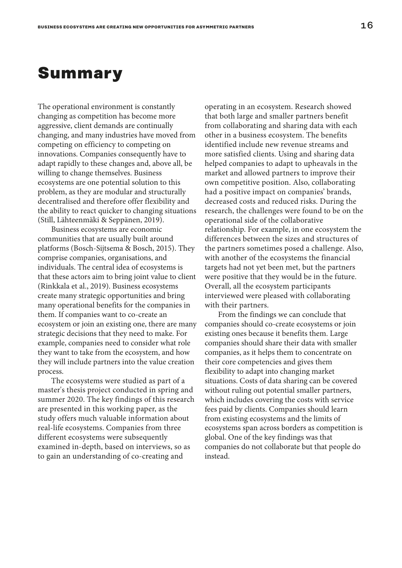### <span id="page-15-0"></span>**Summary**

The operational environment is constantly changing as competition has become more aggressive, client demands are continually changing, and many industries have moved from competing on efficiency to competing on innovations. Companies consequently have to adapt rapidly to these changes and, above all, be willing to change themselves. Business ecosystems are one potential solution to this problem, as they are modular and structurally decentralised and therefore offer flexibility and the ability to react quicker to changing situations (Still, Lähteenmäki & Seppänen, 2019).

Business ecosystems are economic communities that are usually built around platforms (Bosch-Sijtsema & Bosch, 2015). They comprise companies, organisations, and individuals. The central idea of ecosystems is that these actors aim to bring joint value to client (Rinkkala et al., 2019). Business ecosystems create many strategic opportunities and bring many operational benefits for the companies in them. If companies want to co-create an ecosystem or join an existing one, there are many strategic decisions that they need to make. For example, companies need to consider what role they want to take from the ecosystem, and how they will include partners into the value creation process.

The ecosystems were studied as part of a master's thesis project conducted in spring and summer 2020. The key findings of this research are presented in this working paper, as the study offers much valuable information about real-life ecosystems. Companies from three different ecosystems were subsequently examined in-depth, based on interviews, so as to gain an understanding of co-creating and

operating in an ecosystem. Research showed that both large and smaller partners benefit from collaborating and sharing data with each other in a business ecosystem. The benefits identified include new revenue streams and more satisfied clients. Using and sharing data helped companies to adapt to upheavals in the market and allowed partners to improve their own competitive position. Also, collaborating had a positive impact on companies' brands, decreased costs and reduced risks. During the research, the challenges were found to be on the operational side of the collaborative relationship. For example, in one ecosystem the differences between the sizes and structures of the partners sometimes posed a challenge. Also, with another of the ecosystems the financial targets had not yet been met, but the partners were positive that they would be in the future. Overall, all the ecosystem participants interviewed were pleased with collaborating with their partners.

From the findings we can conclude that companies should co-create ecosystems or join existing ones because it benefits them. Large companies should share their data with smaller companies, as it helps them to concentrate on their core competencies and gives them flexibility to adapt into changing market situations. Costs of data sharing can be covered without ruling out potential smaller partners, which includes covering the costs with service fees paid by clients. Companies should learn from existing ecosystems and the limits of ecosystems span across borders as competition is global. One of the key findings was that companies do not collaborate but that people do instead.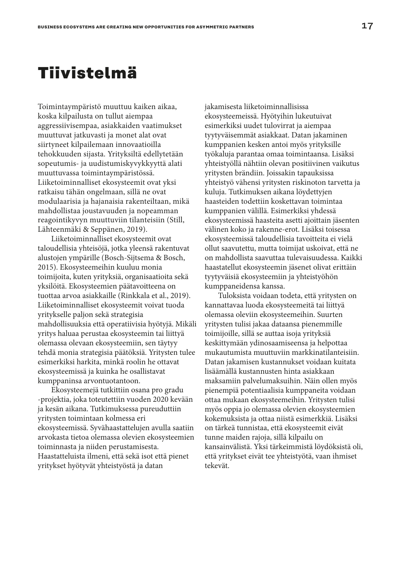## <span id="page-16-0"></span>**Tiivistelmä**

Toimintaympäristö muuttuu kaiken aikaa, koska kilpailusta on tullut aiempaa aggressiivisempaa, asiakkaiden vaatimukset muuttuvat jatkuvasti ja monet alat ovat siirtyneet kilpailemaan innovaatioilla tehokkuuden sijasta. Yrityksiltä edellytetään sopeutumis- ja uudistumiskyvykkyyttä alati muuttuvassa toimintaympäristössä. Liiketoiminnalliset ekosysteemit ovat yksi ratkaisu tähän ongelmaan, sillä ne ovat modulaarisia ja hajanaisia rakenteiltaan, mikä mahdollistaa joustavuuden ja nopeamman reagointikyvyn muuttuviin tilanteisiin (Still, Lähteenmäki & Seppänen, 2019).

Liiketoiminnalliset ekosysteemit ovat taloudellisia yhteisöjä, jotka yleensä rakentuvat alustojen ympärille (Bosch-Sijtsema & Bosch, 2015). Ekosysteemeihin kuuluu monia toimijoita, kuten yrityksiä, organisaatioita sekä yksilöitä. Ekosysteemien päätavoitteena on tuottaa arvoa asiakkaille (Rinkkala et al., 2019). Liiketoiminnalliset ekosysteemit voivat tuoda yritykselle paljon sekä strategisia mahdollisuuksia että operatiivisia hyötyjä. Mikäli yritys haluaa perustaa ekosysteemin tai liittyä olemassa olevaan ekosysteemiin, sen täytyy tehdä monia strategisia päätöksiä. Yritysten tulee esimerkiksi harkita, minkä roolin he ottavat ekosysteemissä ja kuinka he osallistavat kumppaninsa arvontuotantoon.

Ekosysteemejä tutkittiin osana pro gradu -projektia, joka toteutettiin vuoden 2020 kevään ja kesän aikana. Tutkimuksessa pureuduttiin yritysten toimintaan kolmessa eri ekosysteemissä. Syvähaastattelujen avulla saatiin arvokasta tietoa olemassa olevien ekosysteemien toiminnasta ja niiden perustamisesta. Haastatteluista ilmeni, että sekä isot että pienet yritykset hyötyvät yhteistyöstä ja datan

jakamisesta liiketoiminnallisissa ekosysteemeissä. Hyötyihin lukeutuivat esimerkiksi uudet tulovirrat ja aiempaa tyytyväisemmät asiakkaat. Datan jakaminen kumppanien kesken antoi myös yrityksille työkaluja parantaa omaa toimintaansa. Lisäksi yhteistyöllä nähtiin olevan positiivinen vaikutus yritysten brändiin. Joissakin tapauksissa yhteistyö vähensi yritysten riskinoton tarvetta ja kuluja. Tutkimuksen aikana löydettyjen haasteiden todettiin koskettavan toimintaa kumppanien välillä. Esimerkiksi yhdessä ekosysteemissä haasteita asetti ajoittain jäsenten välinen koko ja rakenne-erot. Lisäksi toisessa ekosysteemissä taloudellisia tavoitteita ei vielä ollut saavutettu, mutta toimijat uskoivat, että ne on mahdollista saavuttaa tulevaisuudessa. Kaikki haastatellut ekosysteemin jäsenet olivat erittäin tyytyväisiä ekosysteemiin ja yhteistyöhön kumppaneidensa kanssa.

Tuloksista voidaan todeta, että yritysten on kannattavaa luoda ekosysteemeitä tai liittyä olemassa oleviin ekosysteemeihin. Suurten yritysten tulisi jakaa dataansa pienemmille toimijoille, sillä se auttaa isoja yrityksiä keskittymään ydinosaamiseensa ja helpottaa mukautumista muuttuviin markkinatilanteisiin. Datan jakamisen kustannukset voidaan kuitata lisäämällä kustannusten hinta asiakkaan maksamiin palvelumaksuihin. Näin ollen myös pienempiä potentiaalisia kumppaneita voidaan ottaa mukaan ekosysteemeihin. Yritysten tulisi myös oppia jo olemassa olevien ekosysteemien kokemuksista ja ottaa niistä esimerkkiä. Lisäksi on tärkeä tunnistaa, että ekosysteemit eivät tunne maiden rajoja, sillä kilpailu on kansainvälistä. Yksi tärkeimmistä löydöksistä oli, että yritykset eivät tee yhteistyötä, vaan ihmiset tekevät.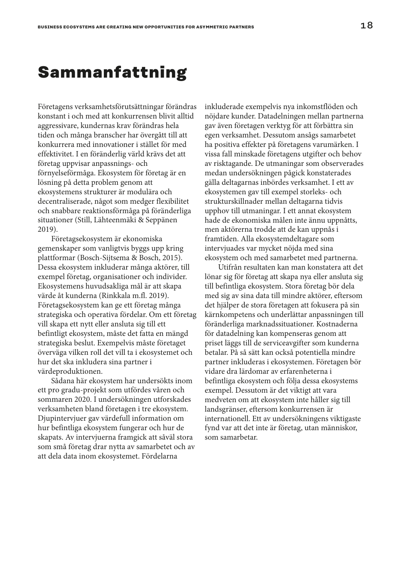### <span id="page-17-0"></span>**Sammanfattning**

Företagens verksamhetsförutsättningar förändras konstant i och med att konkurrensen blivit alltid aggressivare, kundernas krav förändras hela tiden och många branscher har övergått till att konkurrera med innovationer i stället för med effektivitet. I en föränderlig värld krävs det att företag uppvisar anpassnings- och förnyelseförmåga. Ekosystem för företag är en lösning på detta problem genom att ekosystemens strukturer är modulära och decentraliserade, något som medger flexibilitet och snabbare reaktionsförmåga på föränderliga situationer (Still, Lähteenmäki & Seppänen 2019).

Företagsekosystem är ekonomiska gemenskaper som vanligtvis byggs upp kring plattformar (Bosch-Sijtsema & Bosch, 2015). Dessa ekosystem inkluderar många aktörer, till exempel företag, organisationer och individer. Ekosystemens huvudsakliga mål är att skapa värde åt kunderna (Rinkkala m.fl. 2019). Företagsekosystem kan ge ett företag många strategiska och operativa fördelar. Om ett företag vill skapa ett nytt eller ansluta sig till ett befintligt ekosystem, måste det fatta en mängd strategiska beslut. Exempelvis måste företaget överväga vilken roll det vill ta i ekosystemet och hur det ska inkludera sina partner i värdeproduktionen.

Sådana här ekosystem har undersökts inom ett pro gradu-projekt som utfördes våren och sommaren 2020. I undersökningen utforskades verksamheten bland företagen i tre ekosystem. Djupintervjuer gav värdefull information om hur befintliga ekosystem fungerar och hur de skapats. Av intervjuerna framgick att såväl stora som små företag drar nytta av samarbetet och av att dela data inom ekosystemet. Fördelarna

inkluderade exempelvis nya inkomstflöden och nöjdare kunder. Datadelningen mellan partnerna gav även företagen verktyg för att förbättra sin egen verksamhet. Dessutom ansågs samarbetet ha positiva effekter på företagens varumärken. I vissa fall minskade företagens utgifter och behov av risktagande. De utmaningar som observerades medan undersökningen pågick konstaterades gälla deltagarnas inbördes verksamhet. I ett av ekosystemen gav till exempel storleks- och strukturskillnader mellan deltagarna tidvis upphov till utmaningar. I ett annat ekosystem hade de ekonomiska målen inte ännu uppnåtts, men aktörerna trodde att de kan uppnås i framtiden. Alla ekosystemdeltagare som intervjuades var mycket nöjda med sina ekosystem och med samarbetet med partnerna.

Utifrån resultaten kan man konstatera att det lönar sig för företag att skapa nya eller ansluta sig till befintliga ekosystem. Stora företag bör dela med sig av sina data till mindre aktörer, eftersom det hjälper de stora företagen att fokusera på sin kärnkompetens och underlättar anpassningen till föränderliga marknadssituationer. Kostnaderna för datadelning kan kompenseras genom att priset läggs till de serviceavgifter som kunderna betalar. På så sätt kan också potentiella mindre partner inkluderas i ekosystemen. Företagen bör vidare dra lärdomar av erfarenheterna i befintliga ekosystem och följa dessa ekosystems exempel. Dessutom är det viktigt att vara medveten om att ekosystem inte håller sig till landsgränser, eftersom konkurrensen är internationell. Ett av undersökningens viktigaste fynd var att det inte är företag, utan människor, som samarbetar.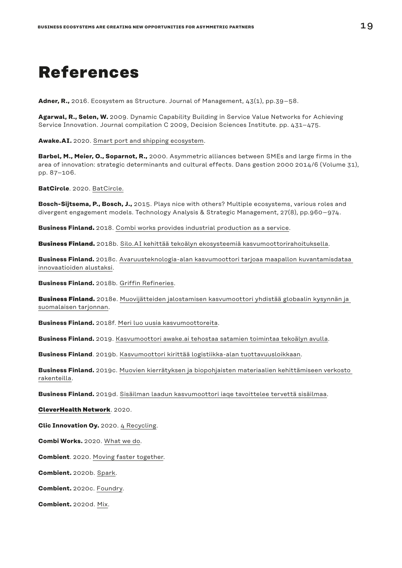# <span id="page-18-0"></span>**References**

**Adner, R.,** 2016. Ecosystem as Structure. Journal of Management, 43(1), pp.39–58.

**Agarwal, R., Selen, W.** 2009. Dynamic Capability Building in Service Value Networks for Achieving Service Innovation. Journal compilation C 2009, Decision Sciences Institute. pp. 431–475.

**Awake.AI.** 2020. [Smart port and shipping ecosystem.](https://www.awake.ai/ecosystem)

**Barbel, M., Meier, O., Soparnot, R.,** 2000. Asymmetric alliances between SMEs and large firms in the area of innovation: strategic determinants and cultural effects. Dans gestion 2000 2014/6 (Volume 31), pp. 87–106.

**BatCircle**. 2020. [BatCircle.](https://www.batcircle.fi/)

**Bosch-Sijtsema, P., Bosch, J.,** 2015. Plays nice with others? Multiple ecosystems, various roles and divergent engagement models. Technology Analysis & Strategic Management, 27(8), pp.960–974.

**Business Finland.** 2018. [Combi works provides industrial production as a service](https://www.businessfinland.fi/en/whats-new/cases/2018/combi-works-provides-industrial-production-as-a-service/).

**Business Finland.** 2018b. [Silo.AI kehittää tekoälyn ekosysteemiä kasvumoottorirahoituksella](https://www.businessfinland.fi/ajankohtaista/uutiset/2018/silo.ai-kehittaa-tekoalyn-ekosysteemia-kasvumoottorirahoituksella/).

**Business Finland.** 2018c. [Avaruusteknologia-alan kasvumoottori tarjoaa maapallon kuvantamisdataa](https://www.businessfinland.fi/ajankohtaista/caset/2018/avaruusteknologia-alan-kasvumoottori-tarjoaa-maapallon-kuvantamisdataa-innovaatioiden-alustaksi/)  [innovaatioiden alustaksi.](https://www.businessfinland.fi/ajankohtaista/caset/2018/avaruusteknologia-alan-kasvumoottori-tarjoaa-maapallon-kuvantamisdataa-innovaatioiden-alustaksi/)

**Business Finland.** 2018b. [Griffin Refineries.](https://www.businessfinland.fi/49f084/globalassets/finnish-customers/news/cases/2018/kasvumoottori_info-14122018-martti_malmivirta_griffin_refineries.pdf)

**Business Finland.** 2018e. [Muovijätteiden jalostamisen kasvumoottori yhdistää globaalin kysynnän ja](https://www.businessfinland.fi/ajankohtaista/caset/2018/muovijatteiden-jalostamisen-kasvumoottori-yhdistaa-globaalin-kysynnan-ja-suomalaisen-tarjonnan/)  [suomalaisen tarjonnan](https://www.businessfinland.fi/ajankohtaista/caset/2018/muovijatteiden-jalostamisen-kasvumoottori-yhdistaa-globaalin-kysynnan-ja-suomalaisen-tarjonnan/).

**Business Finland.** 2018f. [Meri luo uusia kasvumoottoreita.](https://www.businessfinland.fi/ajankohtaista/uutiset/2018/meri-luo-uusia-kasvumoottoreita/)

**Business Finland.** 2019. [Kasvumoottori awake.ai tehostaa satamien toimintaa tekoälyn avulla.](https://www.businessfinland.fi/ajankohtaista/caset/2019/Kasvumoottori-AwakeAI-tehostaa-satamien-toimintaa-tekoalyn-avulla/)

**Business Finland**. 2019b. [Kasvumoottori kirittää logistiikka-alan tuottavuusloikkaan](https://www.businessfinland.fi/ajankohtaista/caset/2019/kasvumoottori-kirittaa-logistiikka-alan-tuottavuusloikkaan/).

**Business Finland.** 2019c. [Muovien kierrätyksen ja biopohjaisten materiaalien kehittämiseen verkosto](https://www.businessfinland.fi/ajankohtaista/uutiset/2019/muovien-kierratyksen-ja-biopohjaisten-materiaalien-kehittamiseen-verkosto-rakenteilla/)  [rakenteilla.](https://www.businessfinland.fi/ajankohtaista/uutiset/2019/muovien-kierratyksen-ja-biopohjaisten-materiaalien-kehittamiseen-verkosto-rakenteilla/)

**Business Finland.** 2019d. [Sisäilman laadun kasvumoottori iaqe tavoittelee tervettä sisäilmaa](https://www.businessfinland.fi/ajankohtaista/uutiset/2019/sisailman-laadun-kasvumoottori-iaqe-tavoittelee-tervetta-sisailmaa/).

**[CleverHealth Network](https://www.cleverhealth.fi/fi/tietoa-meista/)**. 2020.

**Clic Innovation Oy.** 2020. [4 Recycling.](https://clicinnovation.fi/project/4recycling/)

**Combi Works.** 2020. [What we do.](https://www.combiworks.com/en/what-we-do)

**Combient**. 2020. [Moving faster together](https://combient.com/).

**Combient.** 2020b. [Spark](https://combient.com/spark).

**Combient.** 2020c. [Foundry.](https://combientfoundry.com/)

**Combient.** 2020d. [Mix.](https://combient.com/mix)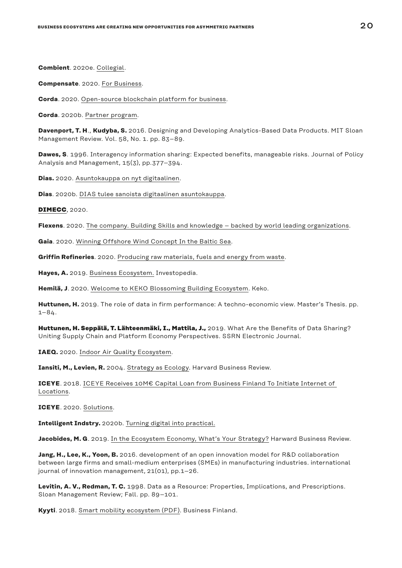**Combient**. 2020e. [Collegial](https://www.combient.com/collegial).

**Compensate**. 2020. [For Business.](https://compensate.com/fi/for-business)

**Corda**. 2020. [Open-source blockchain platform for business](https://www.corda.net/).

**Corda**. 2020b. [Partner program](https://marketplace.r3.com/directory/partner-program?referrer=dashboard-footer).

**Davenport, T. H**., **Kudyba, S.** 2016. Designing and Developing Analytics-Based Data Products. MIT Sloan Management Review. Vol. 58, No. 1. pp. 83–89.

**Dawes, S**. 1996. Interagency information sharing: Expected benefits, manageable risks. Journal of Policy Analysis and Management, 15(3), pp.377–394.

**Dias.** 2020. [Asuntokauppa on nyt digitaalinen.](https://dias.fi/)

**Dias**. 2020b. [DIAS tulee sanoista digitaalinen asuntokauppa.](https://dias.fi/dias.html)

**[DIMECC](https://www.oneseaecosystem.net/about/)**, 2020.

**Flexens**. 2020. [The company. Building Skills and knowledge – backed by world leading organizations](https://flexens.com/the-company/).

**Gaia**. 2020. [Winning Offshore Wind Concept In the Baltic Sea](https://www.gaia.fi/baltic-offshore-wind/).

**Griffin Refineries**. 2020. [Producing raw materials, fuels and energy from waste.](https://griffinrefineries.com/)

**Hayes, A.** 2019. [Business Ecosystem.](https://www.investopedia.com/terms/b/business-ecosystem.asp) Investopedia.

**Hemilä, J**. 2020. [Welcome to KEKO Blossoming Building Ecosystem.](https://kekoecosystem.com/stories/welcome-to-keko-blossoming-building-ecosystem/) Keko.

**Huttunen, H.** 2019. The role of data in firm performance: A techno-economic view. Master's Thesis. pp. 1–84.

Huttunen, H. Seppälä, T. Lähteenmäki, I., Mattila, J., 2019. What Are the Benefits of Data Sharing? Uniting Supply Chain and Platform Economy Perspectives. SSRN Electronic Journal.

**IAEQ.** 2020. [Indoor Air Quality Ecosystem.](https://www.iaqe.fi/)

**Iansiti, M., Levien, R.** 2004. [Strategy as Ecology.](https://hbr.org/2004/03/strategy-as-ecology) Harvard Business Review.

**ICEYE**. 2018. [ICEYE Receives 10M€ Capital Loan from Business Finland To Initiate Internet of](https://www.iceye.com/press/press-releases/iceye-receives-10-million-euro-capital-loan-business-finland-to-initiate-internet-of-locations)  [Locations.](https://www.iceye.com/press/press-releases/iceye-receives-10-million-euro-capital-loan-business-finland-to-initiate-internet-of-locations)

**ICEYE**. 2020. [Solutions](https://www.iceye.com/solutions).

**Intelligent Indstry.** 2020b. [Turning digital into practical.](https://intelligentindustry.dimecc.com/)

Jacobides, M. G. 2019. [In the Ecosystem Economy, What's Your Strategy?](https://hbr.org/2019/09/in-the-ecosystem-economy-whats-your-strategy) Harward Business Review.

**Jang, H., Lee, K., Yoon, B.** 2016. development of an open innovation model for R&D collaboration between large firms and small-medium enterprises (SMEs) in manufacturing industries. international journal of innovation management, 21(01), pp.1–26.

**Levitin, A. V., Redman, T. C.** 1998. Data as a Resource: Properties, Implications, and Prescriptions. Sloan Management Review; Fall. pp. 89–101.

**Kyyti**. 2018. [Smart mobility ecosystem \(PDF\)](https://www.businessfinland.fi/49f09f/globalassets/finnish-customers/news/cases/2018/kasvumoottori_info-14122018_pekka-motto_-kyyti_smart_mobility_ecosystem.pdf). Business Finland.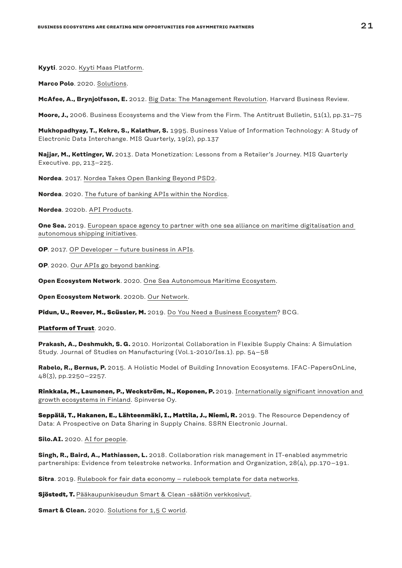**Kyyti**. 2020. [Kyyti Maas Platform.](https://www.kyyti.com/kyyti-maas-platform/)

**Marco Polo**. 2020. [Solutions.](https://www.marcopolo.finance/solutions/)

**McAfee, A., Brynjolfsson, E.** 2012. [Big Data: The Management Revolution](https://hbr.org/2012/10/big-data-the-management-revolution%3e%20%5bAccessed%2015.04.2020%5d.). Harvard Business Review.

**Moore, J.,** 2006. Business Ecosystems and the View from the Firm. The Antitrust Bulletin, 51(1), pp.31–75

**Mukhopadhyay, T., Kekre, S., Kalathur, S.** 1995. Business Value of Information Technology: A Study of Electronic Data Interchange. MIS Quarterly, 19(2), pp.137

**Najjar, M., Kettinger, W.** 2013. Data Monetization: Lessons from a Retailer's Journey. MIS Quarterly Executive. pp, 213–225.

**Nordea**. 2017. [Nordea Takes Open Banking Beyond PSD2.](https://www.nordea.com/en/press-and-news/news-and-press-releases/press-releases/2018/12-17-08h00-nordea-takes-open-banking-beyond-psd2.html)

**Nordea**. 2020. [The future of banking APIs within the Nordics.](https://developer.nordeaopenbanking.com/)

**Nordea**. 2020b. [API Products.](https://developer.nordeaopenbanking.com/app/products)

**One Sea.** 2019. [European space agency to partner with one sea alliance on maritime digitalisation and](https://www.oneseaecosystem.net/european-space-agency-to-partner-with-one-sea-alliance-on-maritime-digitalisation-and-autonomous-shipping-initiatives/)  [autonomous shipping initiatives.](https://www.oneseaecosystem.net/european-space-agency-to-partner-with-one-sea-alliance-on-maritime-digitalisation-and-autonomous-shipping-initiatives/)

**OP**. 2017. [OP Developer – future business in APIs.](https://op-lab.fi/op-developer-future-business-in-apis/)

**OP**. 2020. [Our APIs go beyond banking](https://op-developer.fi/).

**Open Ecosystem Network**. 2020. [One Sea Autonomous Maritime Ecosystem.](https://www.oneseaecosystem.net/european-space-agency-to-partner-with-one-sea-alliance-on-maritime-digitalisation-and-autonomous-shipping-initiatives/)

**Open Ecosystem Network**. 2020b. [Our Network](https://open-ecosystem.org/our-network).

Pidun, U., Reever, M., Scüssler, M. 2019. [Do You Need a Business Ecosystem?](https://www.bcg.com/publications/2019/do-you-need-business-ecosystem) BCG.

**[Platform of Trust](https://platformoftrust.net/fi/mika/)**. 2020.

**Prakash, A., Deshmukh, S. G.** 2010. Horizontal Collaboration in Flexible Supply Chains: A Simulation Study. Journal of Studies on Manufacturing (Vol.1-2010/Iss.1). pp. 54–58

**Rabelo, R., Bernus, P.** 2015. A Holistic Model of Building Innovation Ecosystems. IFAC-PapersOnLine, 48(3), pp.2250–2257.

Rinkkala, M., Launonen, P., Weckström, N., Koponen, P. 2019. Internationally significant innovation and [growth ecosystems in Finland.](https://teknologiateollisuus.fi/sites/default/files/2020-01/Internationally%20significant%20innovation%20and%20growth%20ecosystems%20in%20Finland.pdf) Spinverse Oy.

**Seppälä, T., Hakanen, E., Lähteenmäki, I., Mattila, J., Niemi, R.** 2019. The Resource Dependency of Data: A Prospective on Data Sharing in Supply Chains. SSRN Electronic Journal.

**Silo.AI.** 2020. [AI for people.](https://silo.ai/about/)

**Singh, R., Baird, A., Mathiassen, L.** 2018. Collaboration risk management in IT-enabled asymmetric partnerships: Evidence from telestroke networks. Information and Organization, 28(4), pp.170–191.

**Sitra**. 2019. [Rulebook for fair data economy – rulebook template for data networks](https://media.sitra.fi/2020/06/23111302/sitra-rulebook-version-0-9.pdf).

**Sjöstedt, T.** [Pääkaupunkiseudun Smart & Clean -säätiön verkkosivut](https://www.sitra.fi/artikkelit/paakaupunkiseudun-smart-clean-saation-verkkosivut/).

**Smart & Clean.** 2020. [Solutions for 1,5 C world](https://smartclean.fi/en/).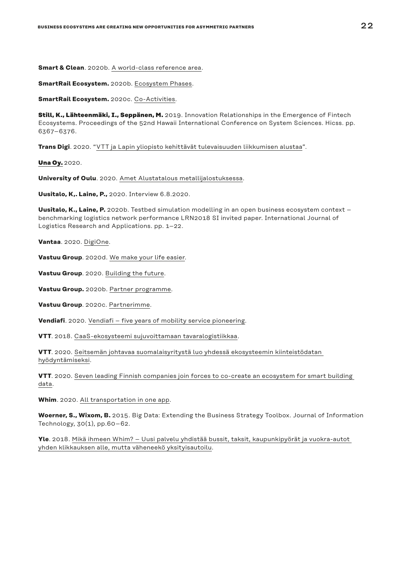**Smart & Clean**. 2020b. [A world-class reference area](https://smartclean.fi/en/helsinki-metropolitan-smart-clean-foundation/).

**SmartRail Ecosystem.** 2020b. [Ecosystem Phases.](https://smartrailecosystem.com/roadmap/)

**SmartRail Ecosystem.** 2020c. [Co-Activities.](https://smartrailecosystem.com/co-activities/)

**Still, K., Lähteenmäki, I., Seppänen, M.** 2019. Innovation Relationships in the Emergence of Fintech Ecosystems. Proceedings of the 52nd Hawaii International Conference on System Sciences. Hicss. pp. 6367–6376.

**Trans Digi**. 2020. "[VTT ja Lapin yliopisto kehittävät tulevaisuuden liikkumisen alustaa](https://transdigi.fi/fi/uutinen/vtt-ja-lapin-yliopisto-kehittavat-tulevaisuuden-liikkumisen-alustaa)".

**[Una Oy.](https://unaoy.fi/yhtio/)** 2020.

**University of Oulu**. 2020. [Amet](https://www.oulu.fi/pyometen/node/198121) Alustatalous metallijalostuksessa.

**Uusitalo, K,. Laine, P.,** 2020. Interview 6.8.2020.

**Uusitalo, K., Laine, P.** 2020b. Testbed simulation modelling in an open business ecosystem context – benchmarking logistics network performance LRN2018 SI invited paper. International Journal of Logistics Research and Applications. pp. 1–22.

**Vantaa**. 2020. [DigiOne](https://www.vantaa.fi/digione/en).

**Vastuu Group**. 2020d. [We make your life easier.](https://www.vastuugroup.fi/fi-en/our-services)

**Vastuu Group**. 2020. [Building the future](https://www.vastuugroup.fi/fi-en/partners).

**Vastuu Group.** 2020b. [Partner programme](https://www.vastuugroup.fi/fi-en/partners).

**Vastuu Group**. 2020c. [Partnerimme](https://www.vastuugroup.fi/fi-fi/partnerit/partnerimme).

**Vendiafi**. 2020. [Vendiafi – five years of mobility service pioneering.](https://www.vedia.fi/)

**VTT**. 2018. [CaaS-ekosysteemi sujuvoittamaan tavaralogistiikkaa.](https://www.vttresearch.com/fi/uutiset-ja-tarinat/caas-ekosysteemi-sujuvoittamaan-tavaralogistiikkaa)

**VTT**. 2020. [Seitsemän johtavaa suomalaisyritystä luo yhdessä ekosysteemin kiinteistödatan](https://www.vttresearch.com/fi/uutiset-ja-tarinat/seitseman-johtavaa-suomalaisyritysta-luo-yhdessa-ekosysteemin-kiinteistodatan)  [hyödyntämiseksi](https://www.vttresearch.com/fi/uutiset-ja-tarinat/seitseman-johtavaa-suomalaisyritysta-luo-yhdessa-ekosysteemin-kiinteistodatan).

**VTT**. 2020. [Seven leading Finnish companies join forces to co-create an ecosystem for smart building](https://www.vttresearch.com/en/news-and-ideas/seven-leading-finnish-companies-join-forces-co-create-ecosystem-smart-building-data)  [data](https://www.vttresearch.com/en/news-and-ideas/seven-leading-finnish-companies-join-forces-co-create-ecosystem-smart-building-data).

**Whim**. 2020. [All transportation in one app](https://whimapp.com/).

**Woerner, S., Wixom, B.** 2015. Big Data: Extending the Business Strategy Toolbox. Journal of Information Technology, 30(1), pp.60–62.

**Yle**. 2018. [Mikä ihmeen Whim? – Uusi palvelu yhdistää bussit, taksit, kaupunkipyörät ja vuokra-autot](https://yle.fi/uutiset/3-10171507)  [yhden klikkauksen alle, mutta väheneekö yksityisautoilu.](https://yle.fi/uutiset/3-10171507)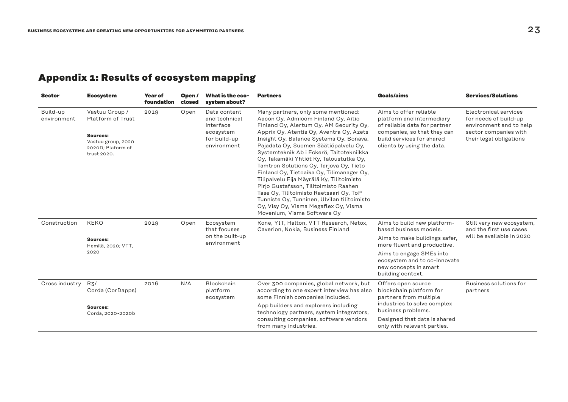### <span id="page-22-0"></span>**Appendix 1: Results of ecosystem mapping**

| <b>Sector</b>           | <b>Ecosystem</b>                                                                                           | <b>Year of</b><br>foundation               | Open /<br>closed | What is the eco-<br>system about?                                                                                         | <b>Partners</b>                                                                                                                                                                                                                                                                                                                                                                                                                                                                                                                                                                                                                                                                              | Goals/aims                                                                                                                                                                    | <b>Services/Solutions</b>                                                                                                     |
|-------------------------|------------------------------------------------------------------------------------------------------------|--------------------------------------------|------------------|---------------------------------------------------------------------------------------------------------------------------|----------------------------------------------------------------------------------------------------------------------------------------------------------------------------------------------------------------------------------------------------------------------------------------------------------------------------------------------------------------------------------------------------------------------------------------------------------------------------------------------------------------------------------------------------------------------------------------------------------------------------------------------------------------------------------------------|-------------------------------------------------------------------------------------------------------------------------------------------------------------------------------|-------------------------------------------------------------------------------------------------------------------------------|
| Build-up<br>environment | Vastuu Group /<br>Platform of Trust<br>Sources:<br>Vastuu group, 2020-<br>2020D; Plaform of<br>trust 2020. | 2019                                       | Open             | Data content<br>and technical<br>interface<br>ecosystem<br>for build-up<br>environment                                    | Many partners, only some mentioned:<br>Aacon Oy, Admicom Finland Oy, Aitio<br>Finland Oy, Alertum Oy, AM Security Oy,<br>Apprix Oy, Atentis Oy, Aventra Oy, Azets<br>Insight Oy, Balance Systems Oy, Bonava,<br>Pajadata Oy, Suomen Säätiöpalvelu Oy,<br>Systemteknik Ab i Eckerö, Taitotekniikka<br>Oy, Takamäki Yhtiöt Ky, Taloustutka Oy,<br>Tamtron Solutions Oy, Tarjova Oy, Tieto<br>Finland Oy, Tietoaika Oy, Tilimanager Oy,<br>Tilipalvelu Eija Mäyrälä Ky, Tilitoimisto<br>Pirjo Gustafsson, Tilitoimisto Raahen<br>Tase Oy, Tilitoimisto Raetsaari Oy, ToP<br>Tunniste Oy, Tunninen, Ulvilan tilitoimisto<br>Oy, Visy Oy, Visma Megaflex Oy, Visma<br>Movenium, Visma Software Oy | Aims to offer reliable<br>platform and intermediary<br>of reliable data for partner<br>companies, so that they can<br>build services for shared<br>clients by using the data. | Electronical services<br>for needs of build-up<br>environment and to help<br>sector companies with<br>their legal obligations |
| Construction            | <b>KEKO</b>                                                                                                | 2019                                       | Open             | Ecosystem<br>that focuses<br>on the built-up<br>environment                                                               | Kone, YIT, Halton, VTT Research, Netox,<br>Caverion, Nokia, Business Finland                                                                                                                                                                                                                                                                                                                                                                                                                                                                                                                                                                                                                 | Aims to build new platform-<br>based business models.                                                                                                                         | Still very new ecosystem,<br>and the first use cases                                                                          |
|                         | Sources:<br>Hemilä, 2020; VTT,                                                                             |                                            |                  |                                                                                                                           |                                                                                                                                                                                                                                                                                                                                                                                                                                                                                                                                                                                                                                                                                              | Aims to make buildings safer,<br>more fluent and productive.                                                                                                                  | will be available in 2020                                                                                                     |
|                         | 2020                                                                                                       |                                            |                  |                                                                                                                           |                                                                                                                                                                                                                                                                                                                                                                                                                                                                                                                                                                                                                                                                                              | Aims to engage SMEs into<br>ecosystem and to co-innovate<br>new concepts in smart<br>building context.                                                                        |                                                                                                                               |
| Cross industry          | 2016<br>R3/<br>Corda (CorDapps)                                                                            | N/A<br>Blockchain<br>platform<br>ecosystem |                  | Over 300 companies, global network, but<br>according to one expert interview has also<br>some Finnish companies included. | Offers open source<br>blockchain platform for<br>partners from multiple                                                                                                                                                                                                                                                                                                                                                                                                                                                                                                                                                                                                                      | Business solutions for<br>partners                                                                                                                                            |                                                                                                                               |
|                         | Sources:<br>Corda, 2020-2020b                                                                              |                                            |                  |                                                                                                                           | App builders and explorers including<br>technology partners, system integrators,<br>consulting companies, software vendors<br>from many industries.                                                                                                                                                                                                                                                                                                                                                                                                                                                                                                                                          | industries to solve complex<br>business problems.<br>Designed that data is shared<br>only with relevant parties.                                                              |                                                                                                                               |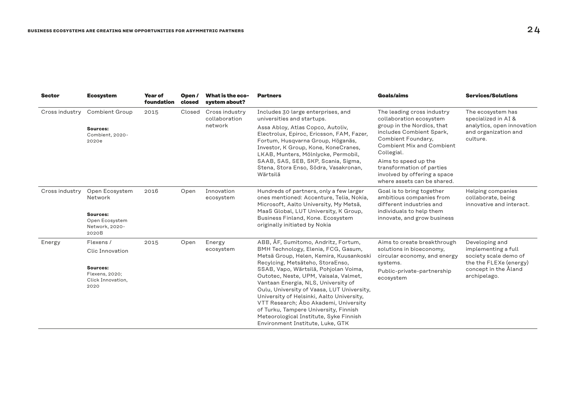| <b>Sector</b>  | <b>Ecosystem</b>                                                                   | <b>Year of</b><br>foundation | Open/<br>closed | What is the eco-<br>system about?          | <b>Partners</b>                                                                                                                                                                                                                                                                                                                                                                  | <b>Goals/aims</b>                                                                                                                                                                                                                                  | <b>Services/Solutions</b>                                                                                  |
|----------------|------------------------------------------------------------------------------------|------------------------------|-----------------|--------------------------------------------|----------------------------------------------------------------------------------------------------------------------------------------------------------------------------------------------------------------------------------------------------------------------------------------------------------------------------------------------------------------------------------|----------------------------------------------------------------------------------------------------------------------------------------------------------------------------------------------------------------------------------------------------|------------------------------------------------------------------------------------------------------------|
| Cross industry | <b>Combient Group</b>                                                              | 2015                         | Closed          | Cross industry<br>collaboration<br>network | Includes 30 large enterprises, and<br>universities and startups.                                                                                                                                                                                                                                                                                                                 | The leading cross industry<br>collaboration ecosystem                                                                                                                                                                                              | The ecosystem has<br>specialized in AI &<br>analytics, open innovation<br>and organization and<br>culture. |
|                | Sources:<br>Combient, 2020-<br>2020e                                               |                              |                 |                                            | Assa Abloy, Atlas Copco, Autoliv,<br>Electrolux, Epiroc, Ericsson, FAM, Fazer,<br>Fortum, Husqvarna Group, Höganäs,<br>Investor, K Group, Kone, KoneCranes,<br>LKAB, Munters, Mölnlycke, Permobil,<br>SAAB, SAS, SEB, SKP, Scania, Sigma,<br>Stena, Stora Enso, Södra, Vasakronan,<br>Wärtsilä                                                                                   | group in the Nordics, that<br>includes Combient Spark,<br>Combient Foundary,<br><b>Combient Mix and Combient</b><br>Collegial.<br>Aims to speed up the<br>transformation of parties<br>involved by offering a space<br>where assets can be shared. |                                                                                                            |
| Cross industry | Open Ecosystem<br>Network<br>Sources:<br>Open Ecosystem<br>Network, 2020-<br>2020B | 2016                         | Open            | Innovation<br>ecosystem                    | Hundreds of partners, only a few larger<br>ones mentioned: Accenture, Telia, Nokia,<br>Microsoft, Aalto University, My Metsä,<br>MaaS Global, LUT University, K Group,<br>Business Finland, Kone. Ecosystem<br>originally initiated by Nokia                                                                                                                                     | Goal is to bring together<br>ambitious companies from<br>different industries and<br>individuals to help them<br>innovate, and grow business                                                                                                       | Helping companies<br>collaborate, being<br>innovative and interact.                                        |
| Energy         | Flexens /                                                                          | 2015                         | Open            | Energy                                     | ABB, ÅF, Sumitomo, Andritz, Fortum,                                                                                                                                                                                                                                                                                                                                              | Aims to create breakthrough<br>solutions in bioeconomy,<br>circular economy, and energy<br>systems.                                                                                                                                                | Developing and<br>implementing a full<br>society scale demo of<br>the the FLEXe (energy)                   |
|                | <b>Clic Innovation</b>                                                             |                              |                 | ecosystem                                  | BMH Technology, Elenia, FCG, Gasum,<br>Metsä Group, Helen, Kemira, Kuusankoski<br>Recylcing, Metsäteho, StoraEnso,                                                                                                                                                                                                                                                               |                                                                                                                                                                                                                                                    |                                                                                                            |
|                | Sources:<br>Flexens, 2020;<br>Click Innovation,<br>2020                            |                              |                 |                                            | SSAB, Vapo, Wärtsilä, Pohjolan Voima,<br>Outotec, Neste, UPM, Vaisala, Valmet,<br>Vantaan Energia, NLS, University of<br>Oulu, University of Vaasa, LUT University,<br>University of Helsinki, Aalto University,<br>VTT Research; Åbo Akademi, University<br>of Turku, Tampere University, Finnish<br>Meteorological Institute, Syke Finnish<br>Environment Institute, Luke, GTK | Public-private-partnership<br>ecosystem                                                                                                                                                                                                            | concept in the Åland<br>archipelago.                                                                       |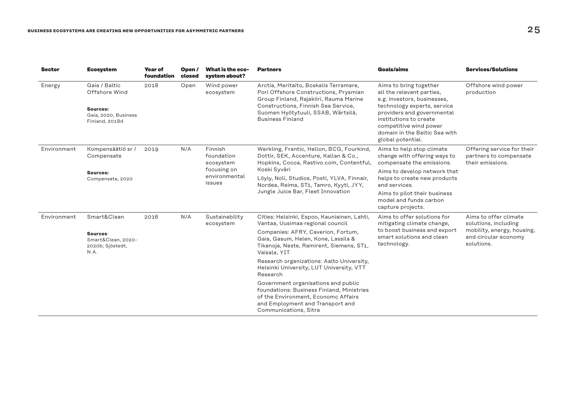| <b>Sector</b> | <b>Ecosystem</b>                                                                     | <b>Year of</b><br>foundation | Open/<br>closed                                                    | What is the eco-<br>system about? | <b>Partners</b>                                                                                                                                                                                                                   | Goals/aims                                                                                                                                                                                                                                                | <b>Services/Solutions</b>                                                                                         |
|---------------|--------------------------------------------------------------------------------------|------------------------------|--------------------------------------------------------------------|-----------------------------------|-----------------------------------------------------------------------------------------------------------------------------------------------------------------------------------------------------------------------------------|-----------------------------------------------------------------------------------------------------------------------------------------------------------------------------------------------------------------------------------------------------------|-------------------------------------------------------------------------------------------------------------------|
| Energy        | Gaia / Baltic<br>Offshore Wind<br>Sources:<br>Gaia, 2020, Business<br>Finland, 2018d | 2018                         | Open                                                               | Wind power<br>ecosystem           | Arctia, Meritaito, Boskalis Terramare,<br>Pori Offshore Constructions, Prysmian<br>Group Finland, Rajakiiri, Rauma Marine<br>Constructions, Finnish Sea Service,<br>Suomen Hyötytuuli, SSAB, Wärtsilä,<br><b>Business Finland</b> | Aims to bring together<br>all the relevant parties,<br>e.g. investors, businesses,<br>technology experts, service<br>providers and governmental<br>institutions to create<br>competitive wind power<br>domain in the Baltic Sea with<br>global potential. | Offshore wind power<br>production                                                                                 |
| Environment   | Kompensäätiö sr /<br>Compensate                                                      | 2019                         | N/A<br>Finnish<br>foundation<br>ecosystem<br>focusing on<br>issues |                                   | Werkling, Frantic, Hellon, BCG, Fourkind,<br>Dottir, SEK, Accenture, Kallan & Co.,<br>Hopkins, Cocoa, Rastivo.com, Contentful,<br>Koski Syväri                                                                                    | Aims to help stop climate<br>change with offering ways to<br>compensate the emissions.                                                                                                                                                                    | Offering service for their<br>partners to compensate<br>their emissions.                                          |
|               | <b>Sources:</b><br>Compensate, 2020                                                  |                              |                                                                    | environmental                     | Löyly, Noli, Studios, Posti, YLVA, Finnair,<br>Nordea, Reima, ST1, Tamro, Kyyti, JYY,<br>Jungle Juice Bar, Fleet Innovation                                                                                                       | Aims to develop network that<br>helps to create new products<br>and services.                                                                                                                                                                             |                                                                                                                   |
|               |                                                                                      |                              |                                                                    |                                   |                                                                                                                                                                                                                                   | Aims to pilot their business<br>model and funds carbon<br>capture projects.                                                                                                                                                                               |                                                                                                                   |
| Environment   | Smart&Clean                                                                          | 2016                         | N/A                                                                | Sustainability<br>ecosystem       | Cities: Helsinki, Espoo, Kauniainen, Lahti,<br>Vantaa, Uusimaa regional council                                                                                                                                                   | Aims to offer solutions for<br>mitigating climate change,                                                                                                                                                                                                 | Aims to offer climate<br>solutions, including<br>mobility, energy, housing,<br>and circular economy<br>solutions. |
|               | Sources:<br>Smart&Clean, 2020-<br>2020b; Sjöstedt,<br>N.A.                           |                              |                                                                    |                                   | Companies: AFRY, Caverion, Fortum,<br>Gaia, Gasum, Helen, Kone, Lassila &<br>Tikanoja, Neste, Ramirent, Siemens, ST1,<br>Vaisala, YIT                                                                                             | to boost business and export<br>smart solutions and clean<br>technology.                                                                                                                                                                                  |                                                                                                                   |
|               |                                                                                      |                              |                                                                    |                                   | Research organizations: Aalto University,<br>Helsinki University, LUT University, VTT<br>Research                                                                                                                                 |                                                                                                                                                                                                                                                           |                                                                                                                   |
|               |                                                                                      |                              |                                                                    |                                   | Government organisations and public<br>foundations: Business Finland, Ministries<br>of the Environment, Economc Affairs<br>and Employment and Transport and<br>Communications, Sitra                                              |                                                                                                                                                                                                                                                           |                                                                                                                   |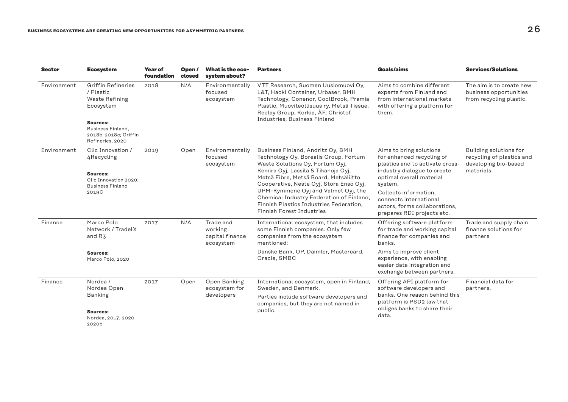| <b>Sector</b> | <b>Ecosystem</b>                                                             | Year of<br>foundation                                  | Open/<br>closed                                                                                                                                                                                         | What is the eco-<br>system about?                                                                                            | <b>Partners</b>                                                                                                                                                | <b>Goals/aims</b>                                                                                                | <b>Services/Solutions</b>                                                   |
|---------------|------------------------------------------------------------------------------|--------------------------------------------------------|---------------------------------------------------------------------------------------------------------------------------------------------------------------------------------------------------------|------------------------------------------------------------------------------------------------------------------------------|----------------------------------------------------------------------------------------------------------------------------------------------------------------|------------------------------------------------------------------------------------------------------------------|-----------------------------------------------------------------------------|
| Environment   | <b>Griffin Refineries</b><br>/ Plastic<br><b>Waste Refining</b><br>Ecosystem | 2018<br>N/A<br>Environmentally<br>focused<br>ecosystem | VTT Research, Suomen Uusiomuovi Oy,<br>L&T, Hackl Container, Urbaser, BMH<br>Technology, Conenor, CoolBrook, Pramia<br>Plastic, Muoviteollisuus ry, Metsä Tissue,<br>Reclay Group, Korkia, ÅF, Christof | Aims to combine different<br>experts from Finland and<br>from international markets<br>with offering a platform for<br>them. | The aim is to create new<br>business opportunities<br>from recycling plastic.                                                                                  |                                                                                                                  |                                                                             |
|               | Sources:<br>Business Finland,<br>2018b-2018c; Griffin<br>Refineries, 2020    |                                                        |                                                                                                                                                                                                         |                                                                                                                              | Industries, Business Finland                                                                                                                                   |                                                                                                                  |                                                                             |
| Environment   | Clic Innovation /<br>4 Recycling                                             | 2019                                                   | Open                                                                                                                                                                                                    | Environmentally<br>focused<br>ecosystem                                                                                      | Business Finland, Andritz Oy, BMH<br>Technology Oy, Borealis Group, Fortum<br>Waste Solutions Oy, Fortum Oyj,                                                  | Aims to bring solutions<br>for enhanced recycling of<br>plastics and to activate cross-                          | Building solutions for<br>recycling of plastics and<br>developing bio-based |
|               | Sources:<br>Clic Innovation 2020:<br><b>Business Finland</b>                 |                                                        |                                                                                                                                                                                                         |                                                                                                                              | Kemira Oyj, Lassila & Tikanoja Oyj,<br>Metsä Fibre, Metsä Board, Metsäliitto<br>Cooperative, Neste Oyj, Stora Enso Oyj,                                        | industry dialogue to create<br>optimal overall material<br>system.                                               | materials.                                                                  |
|               | 2019C                                                                        |                                                        |                                                                                                                                                                                                         |                                                                                                                              | UPM-Kymmene Oyj and Valmet Oyj, the<br>Chemical Industry Federation of Finland,<br>Finnish Plastics Industries Federation.<br><b>Finnish Forest Industries</b> | Collects information,<br>connects international<br>actors, forms collaborations,<br>prepares RDI projects etc.   |                                                                             |
| Finance       | Marco Polo<br>Network / TradelX<br>and R3                                    | 2017                                                   | N/A                                                                                                                                                                                                     | Trade and<br>working<br>capital finance<br>ecosystem                                                                         | International ecosystem, that includes<br>some Finnish companies. Only few<br>companies from the ecosystem<br>mentioned:                                       | Offering software platform<br>for trade and working capital<br>finance for companies and<br>banks.               | Trade and supply chain<br>finance solutions for<br>partners                 |
|               | Sources:<br>Marco Polo, 2020                                                 |                                                        |                                                                                                                                                                                                         |                                                                                                                              | Danske Bank, OP, Daimler, Mastercard,<br>Oracle, SMBC                                                                                                          | Aims to improve client<br>experience, with enabling<br>easier data integration and<br>exchange between partners. |                                                                             |
| Finance       | Nordea /<br>Nordea Open                                                      | 2017                                                   | Open                                                                                                                                                                                                    | Open Banking<br>ecosystem for                                                                                                | International ecosystem, open in Finland,<br>Sweden, and Denmark.                                                                                              | Offering API platform for<br>software developers and                                                             | Financial data for<br>partners.                                             |
|               | <b>Banking</b>                                                               |                                                        |                                                                                                                                                                                                         | developers                                                                                                                   | Parties include software developers and<br>companies, but they are not named in<br>public.                                                                     | banks. One reason behind this<br>platform is PSD2 law that                                                       |                                                                             |
|               | Sources:<br>Nordea, 2017; 2020-<br>2020b                                     |                                                        |                                                                                                                                                                                                         |                                                                                                                              |                                                                                                                                                                | obliges banks to share their<br>data.                                                                            |                                                                             |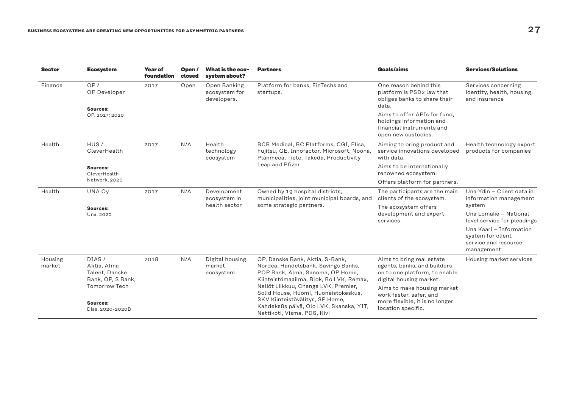| <b>Sector</b>     | <b>Ecosystem</b>                                            | <b>Year of</b><br>foundation | Open /<br>closed                              | What is the eco-<br>system about?                                                                                                                     | <b>Partners</b>                                                                                                                                                                           | Goals/aims                                                                                                     | <b>Services/Solutions</b>                                                          |  |
|-------------------|-------------------------------------------------------------|------------------------------|-----------------------------------------------|-------------------------------------------------------------------------------------------------------------------------------------------------------|-------------------------------------------------------------------------------------------------------------------------------------------------------------------------------------------|----------------------------------------------------------------------------------------------------------------|------------------------------------------------------------------------------------|--|
| Finance           | OP/<br>OP Developer<br><b>Sources:</b>                      | 2017                         | Open                                          | Open Banking<br>ecosystem for<br>developers.                                                                                                          | Platform for banks, FinTechs and<br>startups.                                                                                                                                             | One reason behind this<br>platform is PSD2 law that<br>obliges banks to share their<br>data.                   | Services concerning<br>identity, health, housing,<br>and insurance                 |  |
|                   | OP, 2017; 2020                                              |                              |                                               |                                                                                                                                                       |                                                                                                                                                                                           | Aims to offer APIs for fund.<br>holdings information and<br>financial instruments and<br>open new custodies.   |                                                                                    |  |
| Health            | HUS/<br>CleverHealth                                        | 2017                         | N/A                                           | Health<br>technology<br>ecosystem                                                                                                                     | BCB Medical, BC Platforms, CGI, Elisa,<br>Fujitsu, GE, Innofactor, Microsoft, Noona,<br>Planmeca, Tieto, Takeda, Productivity                                                             | Aiming to bring product and<br>service innovations developed<br>with data.                                     | Health technology export<br>products for companies                                 |  |
|                   | <b>Sources:</b><br>CleverHealth                             |                              |                                               |                                                                                                                                                       |                                                                                                                                                                                           | Leap and Pfizer                                                                                                | Aims to be internationally<br>renowned ecosystem.                                  |  |
|                   | Network, 2020                                               |                              |                                               |                                                                                                                                                       |                                                                                                                                                                                           | Offers platform for partners.                                                                                  |                                                                                    |  |
| Health            | UNA Oy                                                      | 2017                         | N/A                                           | Development<br>ecosystem in                                                                                                                           | Owned by 19 hospital districts,<br>municipalities, joint municipal boards, and                                                                                                            | The participants are the main<br>clients of the ecosystem.                                                     | Una Ydin - Client data in<br>information management                                |  |
|                   | Sources:<br>Una, 2020                                       |                              |                                               | health sector                                                                                                                                         | some strategic partners.                                                                                                                                                                  | The ecosystem offers<br>development and expert<br>services.                                                    | system<br>Una Lomake - National<br>level service for pleadings                     |  |
|                   |                                                             |                              |                                               |                                                                                                                                                       |                                                                                                                                                                                           |                                                                                                                | Una Kaari - Information<br>system for client<br>service and resource<br>management |  |
| Housing<br>market | DIAS/<br>Aktia, Alma<br>Talent, Danske<br>Bank, OP, S Bank, | 2018                         | N/A<br>Digital housing<br>market<br>ecosystem | OP, Danske Bank, Aktia, S-Bank,<br>Nordea, Handelsbank, Savings Banks,<br>POP Bank, Alma, Sanoma, OP Home,<br>Kiinteistömaailma, Blok, Bo LVK, Remax, | Aims to bring real estate<br>agents, banks, and builders<br>on to one platform, to enable<br>digital housing market.                                                                      | Housing market services                                                                                        |                                                                                    |  |
|                   | <b>Tomorrow Tech</b><br>Sources:<br>Dias, 2020-2020B        |                              |                                               |                                                                                                                                                       | Neliöt Liikkuu, Change LVK, Premier,<br>Solid House, Huom!, Huoneistokeskus,<br>SKV Kiinteistövälitys, SP Home,<br>Kahdeks8s päivä, Olo LVK, Skanska, YIT,<br>Nettikoti, Visma, PDS, Kivi | Aims to make housing market<br>work faster, safer, and<br>more flexible, it is no longer<br>location specific. |                                                                                    |  |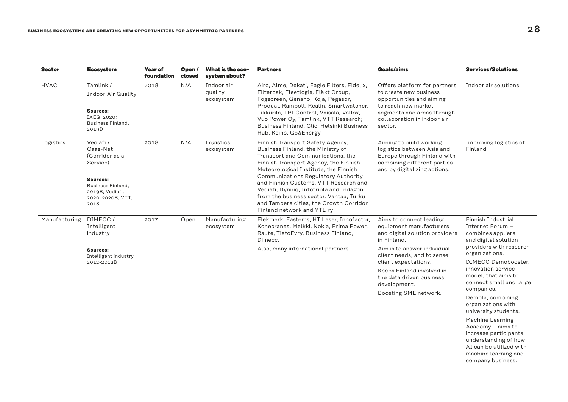| <b>Sector</b> | <b>Ecosystem</b>                                                                                                                           | Year of<br>foundation | Open/<br>closed | What is the eco-<br>system about?  | <b>Partners</b>                                                                                                                                                                                                                                                                                                                                                                                                                             | Goals/aims                                                                                                                                                                                                                                                                                 | <b>Services/Solutions</b>                                                                                                                                                                                                                                                                                                                                                                                                                                                          |
|---------------|--------------------------------------------------------------------------------------------------------------------------------------------|-----------------------|-----------------|------------------------------------|---------------------------------------------------------------------------------------------------------------------------------------------------------------------------------------------------------------------------------------------------------------------------------------------------------------------------------------------------------------------------------------------------------------------------------------------|--------------------------------------------------------------------------------------------------------------------------------------------------------------------------------------------------------------------------------------------------------------------------------------------|------------------------------------------------------------------------------------------------------------------------------------------------------------------------------------------------------------------------------------------------------------------------------------------------------------------------------------------------------------------------------------------------------------------------------------------------------------------------------------|
| <b>HVAC</b>   | Tamlink /<br><b>Indoor Air Quality</b><br>Sources:<br>IAEQ, 2020;<br>Business Finland,<br>2019D                                            | 2018                  | N/A             | Indoor air<br>quality<br>ecosystem | Airo, Alme, Dekati, Eagle Filters, Fidelix,<br>Filterpak, Fleetlogis, Fläkt Group,<br>Fogscreen, Genano, Koja, Pegasor,<br>Produal, Ramboll, Realin, Smartwatcher,<br>Tikkurila, TPI Control, Vaisala, Vallox,<br>Vuo Power Oy, Tamlink, VTT Research;<br>Business Finland, Clic, Helsinki Business<br>Hub, Keino, Go4Energy                                                                                                                | Offers platform for partners<br>to create new business<br>opportunities and aiming<br>to reach new market<br>segments and areas through<br>collaboration in indoor air<br>sector.                                                                                                          | Indoor air solutions                                                                                                                                                                                                                                                                                                                                                                                                                                                               |
| Logistics     | Vediafi /<br>Caas-Net<br>(Corridor as a<br>Service)<br><b>Sources:</b><br>Business Finland,<br>2019B; Vediafi,<br>2020-2020B; VTT,<br>2018 | 2018                  | N/A             | Logistics<br>ecosystem             | Finnish Transport Safety Agency,<br>Business Finland, the Ministry of<br>Transport and Communications, the<br>Finnish Transport Agency, the Finnish<br>Meteorological Institute, the Finnish<br>Communications Regulatory Authority<br>and Finnish Customs, VTT Research and<br>Vediafi, Dynniq, Infotripla and Indagon<br>from the business sector. Vantaa, Turku<br>and Tampere cities, the Growth Corridor<br>Finland network and YTL ry | Aiming to build working<br>logistics between Asia and<br>Europe through Finland with<br>combining different parties<br>and by digitalizing actions.                                                                                                                                        | Improving logistics of<br>Finland                                                                                                                                                                                                                                                                                                                                                                                                                                                  |
| Manufacturing | DIMECC/<br>Intelligent<br>industry<br>Sources:<br>Intelligent industry<br>2012-2012B                                                       | 2017                  | Open            | Manufacturing<br>ecosystem         | Elekmerk, Fastems, HT Laser, Innofactor,<br>Konecranes, Melkki, Nokia, Prima Power,<br>Raute, TietoEvry, Business Finland,<br>Dimecc.<br>Also, many international partners                                                                                                                                                                                                                                                                  | Aims to connect leading<br>equipment manufacturers<br>and digital solution providers<br>in Finland.<br>Aim is to answer individual<br>client needs, and to sense<br>client expectations.<br>Keeps Finland involved in<br>the data driven business<br>development.<br>Boosting SME network. | Finnish Industrial<br>Internet Forum -<br>combines appliers<br>and digital solution<br>providers with research<br>organizations.<br>DIMECC Demobooster,<br>innovation service<br>model, that aims to<br>connect small and large<br>companies.<br>Demola, combining<br>organizations with<br>university students.<br>Machine Learning<br>Academy - aims to<br>increase participants<br>understanding of how<br>AI can be utilized with<br>machine learning and<br>company business. |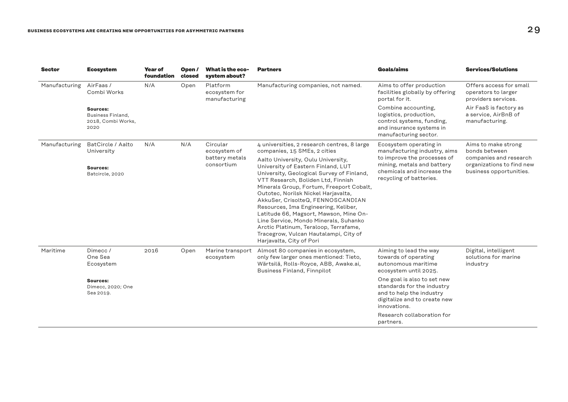| <b>Sector</b> | <b>Ecosystem</b>                                            | <b>Year of</b><br>foundation | Open/<br>closed | What is the eco-<br>system about?          | <b>Partners</b>                                                                                                                                                                                                                                                                                                                                                                                                                                                                                                              | Goals/aims                                                                                                                            | <b>Services/Solutions</b>                                                      |
|---------------|-------------------------------------------------------------|------------------------------|-----------------|--------------------------------------------|------------------------------------------------------------------------------------------------------------------------------------------------------------------------------------------------------------------------------------------------------------------------------------------------------------------------------------------------------------------------------------------------------------------------------------------------------------------------------------------------------------------------------|---------------------------------------------------------------------------------------------------------------------------------------|--------------------------------------------------------------------------------|
| Manufacturing | AirFaas/<br>N/A<br>Combi Works                              |                              | Open            | Platform<br>ecosystem for<br>manufacturing | Manufacturing companies, not named.                                                                                                                                                                                                                                                                                                                                                                                                                                                                                          | Aims to offer production<br>facilities globally by offering<br>portal for it.                                                         | Offers access for small<br>operators to larger<br>providers services.          |
|               | Sources:<br>Business Finland,<br>2018, Combi Works,<br>2020 |                              |                 |                                            |                                                                                                                                                                                                                                                                                                                                                                                                                                                                                                                              | Combine accounting,<br>logistics, production,<br>control systems, funding,<br>and insurance systems in<br>manufacturing sector.       | Air FaaS is factory as<br>a service, AirBnB of<br>manufacturing.               |
| Manufacturing | BatCircle / Aalto<br>University                             | N/A                          | N/A             | Circular<br>ecosystem of                   | 4 universities, 2 research centres, 8 large<br>companies, 15 SMEs, 2 cities                                                                                                                                                                                                                                                                                                                                                                                                                                                  | Ecosystem operating in<br>manufacturing industry, aims                                                                                | Aims to make strong<br>bonds between                                           |
|               | Sources:<br>Batcircle, 2020                                 |                              |                 | battery metals<br>consortium               | Aalto University, Oulu University,<br>University of Eastern Finland, LUT<br>University, Geological Survey of Finland,<br>VTT Research, Boliden Ltd, Finnish<br>Minerals Group, Fortum, Freeport Cobalt,<br>Outotec, Norilsk Nickel Harjavalta,<br>AkkuSer, CrisolteQ, FENNOSCANDIAN<br>Resources, Ima Engineering, Keliber,<br>Latitude 66, Magsort, Mawson, Mine On-<br>Line Service, Mondo Minerals, Suhanko<br>Arctic Platinum, Teraloop, Terrafame,<br>Tracegrow, Vulcan Hautalampi, City of<br>Harjavalta, City of Pori | to improve the processes of<br>mining, metals and battery<br>chemicals and increase the<br>recycling of batteries.                    | companies and research<br>organizations to find new<br>business opportunities. |
| Maritime      | Dimecc/<br>One Sea<br>Ecosystem                             | 2016                         | Open            | Marine transport<br>ecosystem              | Almost 80 companies in ecosystem,<br>only few larger ones mentioned: Tieto,<br>Wärtsilä, Rolls-Royce, ABB, Awake.ai,<br><b>Business Finland, Finnpilot</b>                                                                                                                                                                                                                                                                                                                                                                   | Aiming to lead the way<br>towards of operating<br>autonomous maritime<br>ecosystem until 2025.                                        | Digital, intelligent<br>solutions for marine<br>industry                       |
|               | Sources:<br>Dimecc, 2020; One<br>Sea 2019.                  |                              |                 |                                            |                                                                                                                                                                                                                                                                                                                                                                                                                                                                                                                              | One goal is also to set new<br>standards for the industry<br>and to help the industry<br>digitalize and to create new<br>innovations. |                                                                                |
|               |                                                             |                              |                 |                                            |                                                                                                                                                                                                                                                                                                                                                                                                                                                                                                                              | Research collaboration for<br>partners.                                                                                               |                                                                                |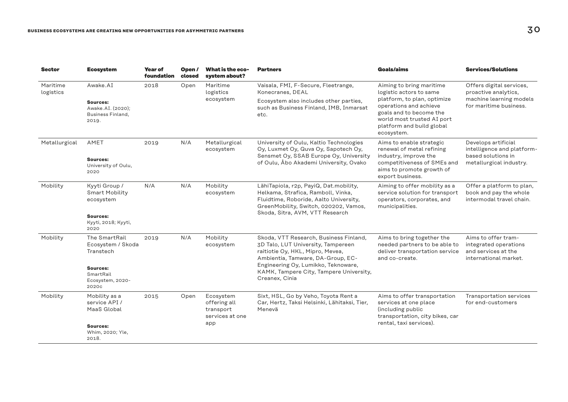| Sector                | <b>Ecosystem</b>                                                                                      | Year of<br>foundation | Open/<br>closed | What is the eco-<br>system about?                                | <b>Partners</b>                                                                                                                                                                                                                                           | Goals/aims                                                                                                                                                     | <b>Services/Solutions</b>                                                                             |
|-----------------------|-------------------------------------------------------------------------------------------------------|-----------------------|-----------------|------------------------------------------------------------------|-----------------------------------------------------------------------------------------------------------------------------------------------------------------------------------------------------------------------------------------------------------|----------------------------------------------------------------------------------------------------------------------------------------------------------------|-------------------------------------------------------------------------------------------------------|
| Maritime<br>logistics | Awake.AI                                                                                              | 2018                  | Open            | Maritime<br>logistics                                            | Vaisala, FMI, F-Secure, Fleetrange,<br>Konecranes, DEAL                                                                                                                                                                                                   | Aiming to bring maritime<br>logistic actors to same                                                                                                            | Offers digital services,<br>proactive analytics,<br>machine learning models<br>for maritime business. |
|                       | Sources:<br>Awake.AI. (2020);<br>Business Finland,<br>2019.                                           |                       |                 | ecosystem                                                        | Ecosystem also includes other parties,<br>such as Business Finland, IMB, Inmarsat<br>etc.                                                                                                                                                                 | platform, to plan, optimize<br>operations and achieve<br>goals and to become the<br>world most trusted AI port<br>platform and build global<br>ecosystem.      |                                                                                                       |
| Metallurgical         | AMET<br>Sources:<br>University of Oulu,<br>2020                                                       | 2019                  | N/A             | Metallurgical<br>ecosystem                                       | University of Oulu, Kaltio Technologies<br>Oy, Luxmet Oy, Quva Oy, Sapotech Oy,<br>Sensmet Oy, SSAB Europe Oy, University<br>of Oulu, Åbo Akademi University, Ovako                                                                                       | Aims to enable strategic<br>renewal of metal refining<br>industry, improve the<br>competitiveness of SMEs and<br>aims to promote growth of<br>export business. | Develops artificial<br>intelligence and platform-<br>based solutions in<br>metallurgical industry.    |
| Mobility              | Kyyti Group /<br><b>Smart Mobility</b><br>ecosystem<br>Sources:<br>Kyyti, 2018; Kyyti,<br>2020        | N/A                   | N/A             | Mobility<br>ecosystem                                            | LähiTapiola, r2p, PayiQ, Dat.mobility,<br>Helkama, Strafica, Ramboll, Vinka,<br>Fluidtime, Roboride, Aalto University,<br>GreenMobility, Switch, 020202, Vamos,<br>Skoda, Sitra, AVM, VTT Research                                                        | Aiming to offer mobility as a<br>service solution for transport<br>operators, corporates, and<br>municipalities.                                               | Offer a platform to plan,<br>book and pay the whole<br>intermodal travel chain.                       |
| Mobility              | The SmartRail<br>Ecosystem / Skoda<br>Transtech<br>Sources:<br>SmartRail<br>Ecosystem, 2020-<br>2020c | 2019                  | N/A             | Mobility<br>ecosystem                                            | Skoda, VTT Research, Business Finland,<br>3D Talo, LUT University, Tampereen<br>raitiotie Oy, HKL, Mipro, Mevea,<br>Ambientia, Tamware, DA-Group, EC-<br>Engineering Oy, Lumikko, Teknoware,<br>KAMK, Tampere City, Tampere University,<br>Creanex, Cinia | Aims to bring together the<br>needed partners to be able to<br>deliver transportation service<br>and co-create.                                                | Aims to offer tram-<br>integrated operations<br>and services at the<br>international market.          |
| Mobility              | Mobility as a<br>service API /<br>MaaS Global<br>Sources:<br>Whim, 2020; Yle,<br>2018.                | 2015                  | Open            | Ecosystem<br>offering all<br>transport<br>services at one<br>app | Sixt, HSL, Go by Veho, Toyota Rent a<br>Car, Hertz, Taksi Helsinki, Lähitaksi, Tier,<br>Menevä                                                                                                                                                            | Aims to offer transportation<br>services at one place<br>(including public<br>transportation, city bikes, car<br>rental, taxi services).                       | Transportation services<br>for end-customers                                                          |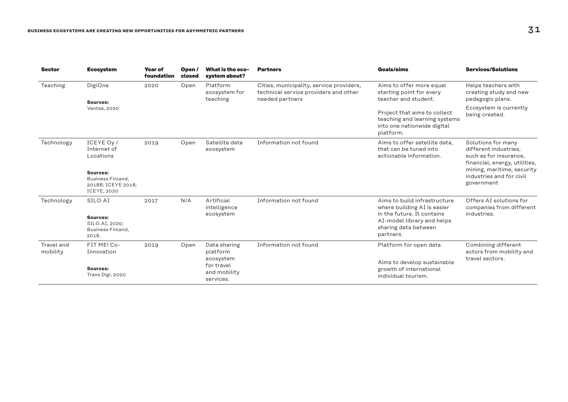| <b>Sector</b>          | <b>Ecosystem</b>                                                          | <b>Year of</b><br>foundation | Open/<br>closed                                      | What is the eco-<br>system about?       | <b>Partners</b>                                                                                      | Goals/aims                                                                                                | <b>Services/Solutions</b>                                                                              |
|------------------------|---------------------------------------------------------------------------|------------------------------|------------------------------------------------------|-----------------------------------------|------------------------------------------------------------------------------------------------------|-----------------------------------------------------------------------------------------------------------|--------------------------------------------------------------------------------------------------------|
| Teaching               | DigiOne                                                                   | 2020                         | Open                                                 | Platform<br>ecosystem for<br>teaching   | Cities, municipality, service providers,<br>technical service providers and other<br>needed partners | Aims to offer more equal<br>starting point for every<br>teacher and student.                              | Helps teachers with<br>creating study and new<br>pedagogic plans.                                      |
|                        | Sources:<br>Vantaa, 2020                                                  |                              |                                                      |                                         |                                                                                                      | Project that aims to collect<br>teaching and learning systems<br>into one nationwide digital<br>platform. | Ecosystem is currently<br>being created.                                                               |
| Technology             | ICEYE Ov /<br>Internet of<br>Locations                                    | 2019                         | Open                                                 | Satellite data<br>ecosystem             | Information not found                                                                                | Aims to offer satellite data.<br>that can be tuned into<br>actionable information.                        | Solutions for many<br>different industries.<br>such as for insurance,<br>financial, energy, utilities, |
|                        | Sources:<br>Business Finland,<br>2018B; ICEYE 2018;<br><b>ICEYE, 2020</b> |                              |                                                      |                                         |                                                                                                      |                                                                                                           | mining, maritime, security<br>industries and for civil<br>government                                   |
| Technology             | SILO.AI<br>Sources:                                                       | 2017                         | N/A                                                  | Artificial<br>intelligence<br>ecosystem | Information not found                                                                                | Aims to build infrastructure<br>where building AI is easier<br>in the future. It contains                 | Offers AI solutions for<br>companies from different<br>industries.                                     |
|                        | SILO.AI, 2020;<br>Business Finland,<br>2018.                              |                              |                                                      |                                         |                                                                                                      | AI-model library and helps<br>sharing data between<br>partners.                                           |                                                                                                        |
| Travel and<br>mobility | FIT ME! Co-<br>Innovation                                                 | 2019                         | Open                                                 | Data sharing<br>platform                | Information not found                                                                                | Platform for open data.                                                                                   | Combining different<br>actors from mobility and<br>travel sectors.                                     |
|                        | Sources:<br>Trans Digi, 2020                                              |                              | ecosystem<br>for travel<br>and mobility<br>services. |                                         | Aims to develop sustainable<br>growth of international<br>individual tourism.                        |                                                                                                           |                                                                                                        |